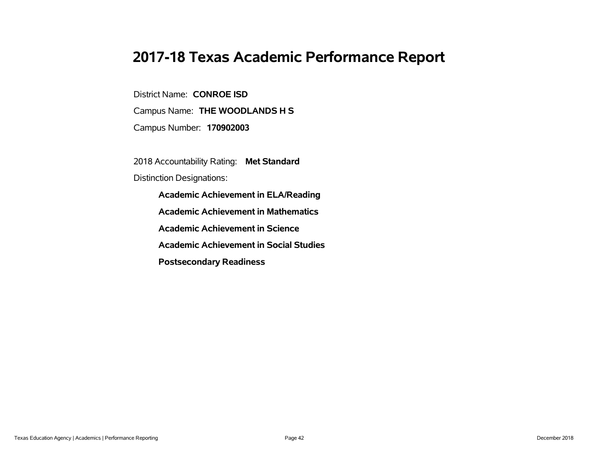# **2017-18 Texas Academic Performance Report**

District Name: **CONROE ISD**

Campus Name: **THE WOODLANDS H S**

Campus Number: **170902003**

2018 Accountability Rating: **Met Standard** Distinction Designations:

**Academic Achievement in ELA/Reading**

**Academic Achievement in Mathematics**

**Academic Achievement in Science**

**Academic Achievement in Social Studies**

**Postsecondary Readiness**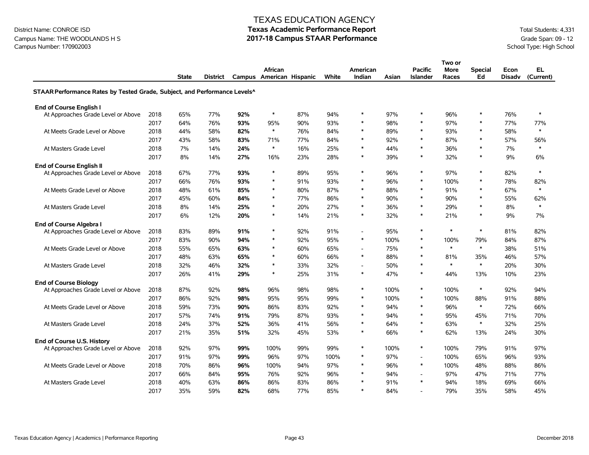#### TEXAS EDUCATION AGENCY

|                                                                           |      |              |          |     |         |                          |       |                          |       |                                   | Two or        |                      |                       |                 |
|---------------------------------------------------------------------------|------|--------------|----------|-----|---------|--------------------------|-------|--------------------------|-------|-----------------------------------|---------------|----------------------|-----------------------|-----------------|
|                                                                           |      | <b>State</b> | District |     | African | Campus American Hispanic | White | American<br>Indian       | Asian | <b>Pacific</b><br><b>Islander</b> | More<br>Races | <b>Special</b><br>Ed | Econ<br><b>Disadv</b> | EL<br>(Current) |
| STAAR Performance Rates by Tested Grade, Subject, and Performance Levels^ |      |              |          |     |         |                          |       |                          |       |                                   |               |                      |                       |                 |
| <b>End of Course English I</b>                                            |      |              |          |     |         |                          |       |                          |       |                                   |               |                      |                       |                 |
| At Approaches Grade Level or Above                                        | 2018 | 65%          | 77%      | 92% | $\ast$  | 87%                      | 94%   | $\ast$                   | 97%   | $\ast$                            | 96%           | $\ast$               | 76%                   | $\ast$          |
|                                                                           | 2017 | 64%          | 76%      | 93% | 95%     | 90%                      | 93%   | $\ast$                   | 98%   | $\ast$                            | 97%           | $\ast$               | 77%                   | 77%             |
| At Meets Grade Level or Above                                             | 2018 | 44%          | 58%      | 82% | $\ast$  | 76%                      | 84%   | $\ast$                   | 89%   | $\ast$                            | 93%           | $\ast$               | 58%                   | $\ast$          |
|                                                                           | 2017 | 43%          | 58%      | 83% | 71%     | 77%                      | 84%   | $\ast$                   | 92%   | $\ast$                            | 87%           | $\ast$               | 57%                   | 56%             |
| At Masters Grade Level                                                    | 2018 | 7%           | 14%      | 24% | $\ast$  | 16%                      | 25%   | $\ast$                   | 44%   | $\ast$                            | 36%           | $\ast$               | 7%                    | $\ast$          |
|                                                                           | 2017 | 8%           | 14%      | 27% | 16%     | 23%                      | 28%   | $\ast$                   | 39%   | $\ast$                            | 32%           | $\ast$               | 9%                    | 6%              |
| <b>End of Course English II</b>                                           |      |              |          |     |         |                          |       |                          |       |                                   |               |                      |                       |                 |
| At Approaches Grade Level or Above                                        | 2018 | 67%          | 77%      | 93% | $\ast$  | 89%                      | 95%   | $\ast$                   | 96%   | $\ast$                            | 97%           | $\ast$               | 82%                   | $\ast$          |
|                                                                           | 2017 | 66%          | 76%      | 93% | $\ast$  | 91%                      | 93%   | $\ast$                   | 96%   | $\ast$                            | 100%          | $\ast$               | 78%                   | 82%             |
| At Meets Grade Level or Above                                             | 2018 | 48%          | 61%      | 85% | $\ast$  | 80%                      | 87%   | $\ast$                   | 88%   | $\ast$                            | 91%           | $\ast$               | 67%                   | $\ast$          |
|                                                                           | 2017 | 45%          | 60%      | 84% | $\ast$  | 77%                      | 86%   | $\ast$                   | 90%   | $\ast$                            | 90%           | $\ast$               | 55%                   | 62%             |
| At Masters Grade Level                                                    | 2018 | 8%           | 14%      | 25% | $\ast$  | 20%                      | 27%   | $\ast$                   | 36%   | $\ast$                            | 29%           | $\ast$               | 8%                    | $\ast$          |
|                                                                           | 2017 | 6%           | 12%      | 20% | $\ast$  | 14%                      | 21%   | $\ast$                   | 32%   | $\ast$                            | 21%           | $\ast$               | 9%                    | 7%              |
| <b>End of Course Algebra I</b>                                            |      |              |          |     |         |                          |       |                          |       |                                   |               |                      |                       |                 |
| At Approaches Grade Level or Above                                        | 2018 | 83%          | 89%      | 91% | $\ast$  | 92%                      | 91%   | $\overline{\phantom{a}}$ | 95%   | $\ast$                            | *             | $\ast$               | 81%                   | 82%             |
|                                                                           | 2017 | 83%          | 90%      | 94% | $\ast$  | 92%                      | 95%   | $\ast$                   | 100%  | $\ast$                            | 100%          | 79%                  | 84%                   | 87%             |
| At Meets Grade Level or Above                                             | 2018 | 55%          | 65%      | 63% | $\ast$  | 60%                      | 65%   | $\blacksquare$           | 75%   | $\ast$                            | $\ast$        | $\ast$               | 38%                   | 51%             |
|                                                                           | 2017 | 48%          | 63%      | 65% | $\ast$  | 60%                      | 66%   | $\ast$                   | 88%   | $\ast$                            | 81%           | 35%                  | 46%                   | 57%             |
| At Masters Grade Level                                                    | 2018 | 32%          | 46%      | 32% | $\ast$  | 33%                      | 32%   | $\overline{a}$           | 50%   | $\ast$                            | $\ast$        | $\ast$               | 20%                   | 30%             |
|                                                                           | 2017 | 26%          | 41%      | 29% | $\ast$  | 25%                      | 31%   | $\ast$                   | 47%   | $\ast$                            | 44%           | 13%                  | 10%                   | 23%             |
| <b>End of Course Biology</b>                                              |      |              |          |     |         |                          |       |                          |       |                                   |               |                      |                       |                 |
| At Approaches Grade Level or Above                                        | 2018 | 87%          | 92%      | 98% | 96%     | 98%                      | 98%   | $\ast$                   | 100%  | $\ast$                            | 100%          | $\ast$               | 92%                   | 94%             |
|                                                                           | 2017 | 86%          | 92%      | 98% | 95%     | 95%                      | 99%   | $\ast$                   | 100%  | $\ast$                            | 100%          | 88%                  | 91%                   | 88%             |
| At Meets Grade Level or Above                                             | 2018 | 59%          | 73%      | 90% | 86%     | 83%                      | 92%   | $\ast$                   | 94%   | $\ast$                            | 96%           | $\ast$               | 72%                   | 66%             |
|                                                                           | 2017 | 57%          | 74%      | 91% | 79%     | 87%                      | 93%   | $\ast$                   | 94%   | $\ast$                            | 95%           | 45%                  | 71%                   | 70%             |
| At Masters Grade Level                                                    | 2018 | 24%          | 37%      | 52% | 36%     | 41%                      | 56%   | $\ast$                   | 64%   | $\ast$                            | 63%           | $\ast$               | 32%                   | 25%             |
|                                                                           | 2017 | 21%          | 35%      | 51% | 32%     | 45%                      | 53%   | $\ast$                   | 66%   | $\ast$                            | 62%           | 13%                  | 24%                   | 30%             |
| End of Course U.S. History                                                |      |              |          |     |         |                          |       |                          |       |                                   |               |                      |                       |                 |
| At Approaches Grade Level or Above                                        | 2018 | 92%          | 97%      | 99% | 100%    | 99%                      | 99%   | $\ast$                   | 100%  | $\ast$                            | 100%          | 79%                  | 91%                   | 97%             |
|                                                                           | 2017 | 91%          | 97%      | 99% | 96%     | 97%                      | 100%  | $\ast$                   | 97%   | $\overline{\phantom{a}}$          | 100%          | 65%                  | 96%                   | 93%             |
| At Meets Grade Level or Above                                             | 2018 | 70%          | 86%      | 96% | 100%    | 94%                      | 97%   | $\ast$                   | 96%   | $\ast$                            | 100%          | 48%                  | 88%                   | 86%             |
|                                                                           | 2017 | 66%          | 84%      | 95% | 76%     | 92%                      | 96%   | $\ast$                   | 94%   |                                   | 97%           | 47%                  | 71%                   | 77%             |
| At Masters Grade Level                                                    | 2018 | 40%          | 63%      | 86% | 86%     | 83%                      | 86%   | $\ast$                   | 91%   | $\pmb{\ast}$                      | 94%           | 18%                  | 69%                   | 66%             |
|                                                                           | 2017 | 35%          | 59%      | 82% | 68%     | 77%                      | 85%   | $\ast$                   | 84%   |                                   | 79%           | 35%                  | 58%                   | 45%             |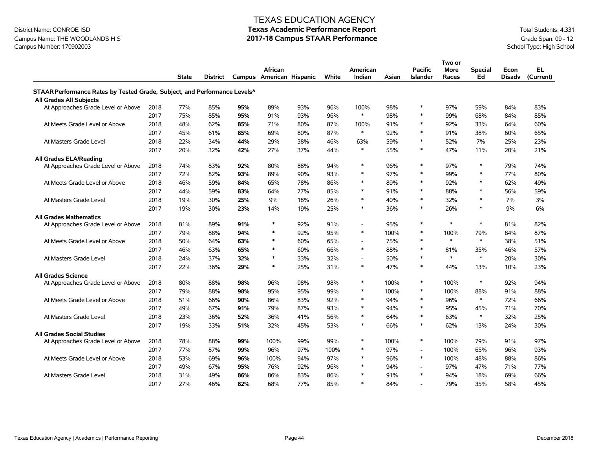#### TEXAS EDUCATION AGENCY

|                                                                                                      |      |              |          |     |         |                          |       |                          |       |                                   | Two or               |                      |                       |                  |
|------------------------------------------------------------------------------------------------------|------|--------------|----------|-----|---------|--------------------------|-------|--------------------------|-------|-----------------------------------|----------------------|----------------------|-----------------------|------------------|
|                                                                                                      |      | <b>State</b> | District |     | African | Campus American Hispanic | White | American<br>Indian       | Asian | <b>Pacific</b><br><b>Islander</b> | <b>More</b><br>Races | <b>Special</b><br>Ed | Econ<br><b>Disadv</b> | EL.<br>(Current) |
|                                                                                                      |      |              |          |     |         |                          |       |                          |       |                                   |                      |                      |                       |                  |
| STAAR Performance Rates by Tested Grade, Subject, and Performance Levels^<br>All Grades All Subjects |      |              |          |     |         |                          |       |                          |       |                                   |                      |                      |                       |                  |
| At Approaches Grade Level or Above                                                                   | 2018 | 77%          | 85%      | 95% | 89%     | 93%                      | 96%   | 100%                     | 98%   | $\ast$                            | 97%                  | 59%                  | 84%                   | 83%              |
|                                                                                                      | 2017 | 75%          | 85%      | 95% | 91%     | 93%                      | 96%   | $\ast$                   | 98%   | $\ast$                            | 99%                  | 68%                  | 84%                   | 85%              |
| At Meets Grade Level or Above                                                                        | 2018 | 48%          | 62%      | 85% | 71%     | 80%                      | 87%   | 100%                     | 91%   | $\ast$                            | 92%                  | 33%                  | 64%                   | 60%              |
|                                                                                                      | 2017 | 45%          | 61%      | 85% | 69%     | 80%                      | 87%   | $\ast$                   | 92%   | $\ast$                            | 91%                  | 38%                  | 60%                   | 65%              |
| At Masters Grade Level                                                                               | 2018 | 22%          | 34%      | 44% | 29%     | 38%                      | 46%   | 63%                      | 59%   | $\ast$                            | 52%                  | 7%                   | 25%                   | 23%              |
|                                                                                                      | 2017 | 20%          | 32%      | 42% | 27%     | 37%                      | 44%   | $\ast$                   | 55%   | $\ast$                            | 47%                  | 11%                  | 20%                   | 21%              |
| All Grades ELA/Reading                                                                               |      |              |          |     |         |                          |       |                          |       |                                   |                      |                      |                       |                  |
| At Approaches Grade Level or Above                                                                   | 2018 | 74%          | 83%      | 92% | 80%     | 88%                      | 94%   | $\ast$                   | 96%   | $\ast$                            | 97%                  | $\ast$               | 79%                   | 74%              |
|                                                                                                      | 2017 | 72%          | 82%      | 93% | 89%     | 90%                      | 93%   | $\ast$                   | 97%   | $\ast$                            | 99%                  | $\ast$               | 77%                   | 80%              |
| At Meets Grade Level or Above                                                                        | 2018 | 46%          | 59%      | 84% | 65%     | 78%                      | 86%   | $\ast$                   | 89%   | $\ast$                            | 92%                  | $\ast$               | 62%                   | 49%              |
|                                                                                                      | 2017 | 44%          | 59%      | 83% | 64%     | 77%                      | 85%   | $\ast$                   | 91%   | $\ast$                            | 88%                  | $\ast$               | 56%                   | 59%              |
| At Masters Grade Level                                                                               | 2018 | 19%          | 30%      | 25% | 9%      | 18%                      | 26%   | $\ast$                   | 40%   | $\ast$                            | 32%                  | $\ast$               | 7%                    | 3%               |
|                                                                                                      | 2017 | 19%          | 30%      | 23% | 14%     | 19%                      | 25%   | $\ast$                   | 36%   | $\ast$                            | 26%                  | $\ast$               | 9%                    | 6%               |
| <b>All Grades Mathematics</b>                                                                        |      |              |          |     |         |                          |       |                          |       |                                   |                      |                      |                       |                  |
| At Approaches Grade Level or Above                                                                   | 2018 | 81%          | 89%      | 91% | $\ast$  | 92%                      | 91%   | $\overline{a}$           | 95%   | $\ast$                            | $\ast$               | $\ast$               | 81%                   | 82%              |
|                                                                                                      | 2017 | 79%          | 88%      | 94% | $\ast$  | 92%                      | 95%   | $\ast$                   | 100%  | $\ast$                            | 100%                 | 79%                  | 84%                   | 87%              |
| At Meets Grade Level or Above                                                                        | 2018 | 50%          | 64%      | 63% | $\ast$  | 60%                      | 65%   | $\overline{\phantom{a}}$ | 75%   | $\ast$                            | $\ast$               | $\ast$               | 38%                   | 51%              |
|                                                                                                      | 2017 | 46%          | 63%      | 65% | $\ast$  | 60%                      | 66%   | $\ast$                   | 88%   | $\ast$                            | 81%                  | 35%                  | 46%                   | 57%              |
| At Masters Grade Level                                                                               | 2018 | 24%          | 37%      | 32% | $\ast$  | 33%                      | 32%   | $\overline{\phantom{a}}$ | 50%   | $\ast$                            | $\ast$               | $\ast$               | 20%                   | 30%              |
|                                                                                                      | 2017 | 22%          | 36%      | 29% | $\ast$  | 25%                      | 31%   | $\ast$                   | 47%   | $\ast$                            | 44%                  | 13%                  | 10%                   | 23%              |
| <b>All Grades Science</b>                                                                            |      |              |          |     |         |                          |       |                          |       |                                   |                      |                      |                       |                  |
| At Approaches Grade Level or Above                                                                   | 2018 | 80%          | 88%      | 98% | 96%     | 98%                      | 98%   | $\ast$                   | 100%  | $\ast$                            | 100%                 | $\ast$               | 92%                   | 94%              |
|                                                                                                      | 2017 | 79%          | 88%      | 98% | 95%     | 95%                      | 99%   | $\ast$                   | 100%  | $\ast$                            | 100%                 | 88%                  | 91%                   | 88%              |
| At Meets Grade Level or Above                                                                        | 2018 | 51%          | 66%      | 90% | 86%     | 83%                      | 92%   | $\ast$                   | 94%   | $\ast$                            | 96%                  | $\ast$               | 72%                   | 66%              |
|                                                                                                      | 2017 | 49%          | 67%      | 91% | 79%     | 87%                      | 93%   | $\ast$                   | 94%   | $\ast$                            | 95%                  | 45%                  | 71%                   | 70%              |
| At Masters Grade Level                                                                               | 2018 | 23%          | 36%      | 52% | 36%     | 41%                      | 56%   | $\ast$                   | 64%   | $\ast$                            | 63%                  | $\ast$               | 32%                   | 25%              |
|                                                                                                      | 2017 | 19%          | 33%      | 51% | 32%     | 45%                      | 53%   | $\ast$                   | 66%   | $\ast$                            | 62%                  | 13%                  | 24%                   | 30%              |
| <b>All Grades Social Studies</b>                                                                     |      |              |          |     |         |                          |       |                          |       |                                   |                      |                      |                       |                  |
| At Approaches Grade Level or Above                                                                   | 2018 | 78%          | 88%      | 99% | 100%    | 99%                      | 99%   | $\ast$                   | 100%  | $\ast$                            | 100%                 | 79%                  | 91%                   | 97%              |
|                                                                                                      | 2017 | 77%          | 87%      | 99% | 96%     | 97%                      | 100%  | $\ast$                   | 97%   | $\overline{\phantom{a}}$          | 100%                 | 65%                  | 96%                   | 93%              |
| At Meets Grade Level or Above                                                                        | 2018 | 53%          | 69%      | 96% | 100%    | 94%                      | 97%   | $\ast$                   | 96%   | $\ast$                            | 100%                 | 48%                  | 88%                   | 86%              |
|                                                                                                      | 2017 | 49%          | 67%      | 95% | 76%     | 92%                      | 96%   | $\ast$                   | 94%   | $\overline{\phantom{a}}$          | 97%                  | 47%                  | 71%                   | 77%              |
| At Masters Grade Level                                                                               | 2018 | 31%          | 49%      | 86% | 86%     | 83%                      | 86%   | $\ast$                   | 91%   | $\ast$                            | 94%                  | 18%                  | 69%                   | 66%              |
|                                                                                                      | 2017 | 27%          | 46%      | 82% | 68%     | 77%                      | 85%   | $\ast$                   | 84%   |                                   | 79%                  | 35%                  | 58%                   | 45%              |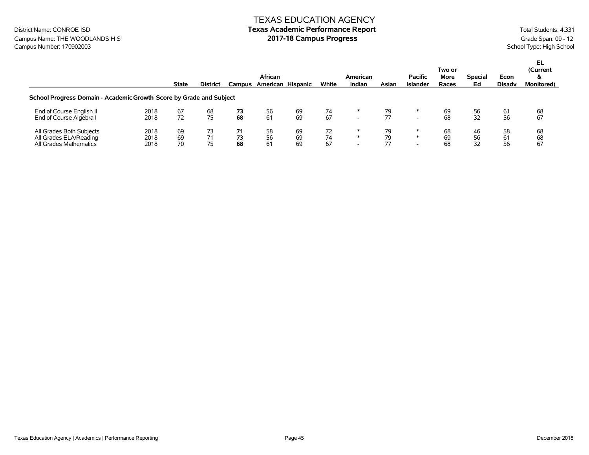## District Name: CONROE ISD **Texas Academic Performance Report Texas Academic Performance Report** Total Students: 4,331

|                                                                     |      | <b>State</b> | <b>District</b> | Campus | African | American Hispanic | White | American<br>Indian       | Asian | <b>Pacific</b><br>Islander | Two or<br>More<br>Races | <b>Special</b><br>Ed | Econ<br><b>Disadv</b> | EL<br>(Current<br>&<br><b>Monitored</b> ) |
|---------------------------------------------------------------------|------|--------------|-----------------|--------|---------|-------------------|-------|--------------------------|-------|----------------------------|-------------------------|----------------------|-----------------------|-------------------------------------------|
| School Progress Domain - Academic Growth Score by Grade and Subject |      |              |                 |        |         |                   |       |                          |       |                            |                         |                      |                       |                                           |
| End of Course English II                                            | 2018 | 67           | 68              | 73     | 56      | 69                | 74    | ∗                        | 79    |                            | 69                      | 56                   | 61                    | 68                                        |
| End of Course Algebra I                                             | 2018 | 72           | 75              | 68     | 61      | 69                | 67    | $\overline{\phantom{0}}$ | 77    |                            | 68                      | 32                   | 56                    | 67                                        |
| All Grades Both Subjects                                            | 2018 | 69           | 73              | 71     | 58      | 69                | 72    | ∗                        | 79    |                            | 68                      | 46                   | 58                    | 68                                        |
| All Grades ELA/Reading                                              | 2018 | 69           | 71              | 73     | 56      | 69                | 74    | $\ast$                   | 79    |                            | 69                      | 56                   | 61                    | 68                                        |
| All Grades Mathematics                                              | 2018 | 70           | 75              | 68     | 61      | 69                | 67    | $\overline{\phantom{0}}$ | 77    |                            | 68                      | 32                   | 56                    | 67                                        |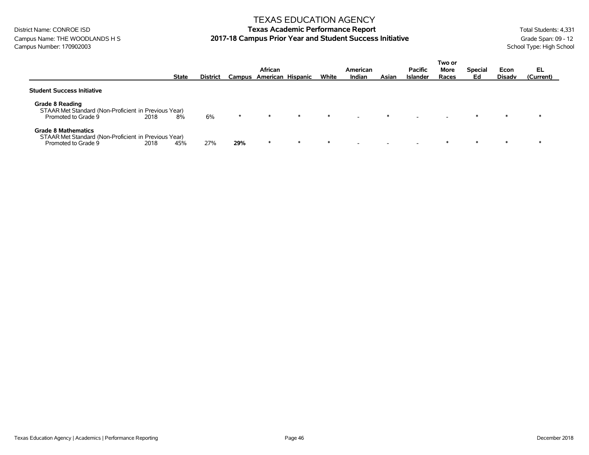Campus Name: THE WOODLANDS H S **2017-18 Campus Prior Year and Student Success Initiative**<br>Campus Number: 170902003<br>School Type: High School Campus Number: 170902003

#### TEXAS EDUCATION AGENCY

|                                                                                                           |      | <b>State</b> | <b>District</b> |         | African<br>Campus American Hispanic |        | White  | American<br>Indian | Asian | <b>Pacific</b><br>Islander | Two or<br>More<br>Races | Special<br>Ed | Econ<br><b>Disadv</b> | EL<br>(Current) |
|-----------------------------------------------------------------------------------------------------------|------|--------------|-----------------|---------|-------------------------------------|--------|--------|--------------------|-------|----------------------------|-------------------------|---------------|-----------------------|-----------------|
| <b>Student Success Initiative</b>                                                                         |      |              |                 |         |                                     |        |        |                    |       |                            |                         |               |                       |                 |
| Grade 8 Reading<br>STAAR Met Standard (Non-Proficient in Previous Year)<br>Promoted to Grade 9            | 2018 | 8%           | 6%              | $\star$ | $\ast$                              | $\ast$ | $\ast$ |                    | *     |                            |                         | *             | *                     |                 |
| <b>Grade 8 Mathematics</b><br>STAAR Met Standard (Non-Proficient in Previous Year)<br>Promoted to Grade 9 | 2018 | 45%          | 27%             | 29%     | $\ast$                              | *      | ∗      |                    | --    |                            |                         |               | $\ast$                |                 |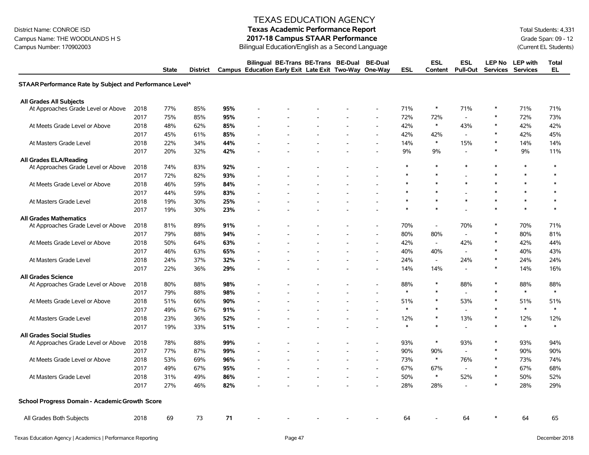Campus Name: THE WOODLANDS H S<br>Campus Number: 170902003 **2017-18 Campus STAAR Performance** Grade Span: 09 - 12<br>Bilingual Education/English as a Second Language Grade Students (Current EL Students)

#### TEXAS EDUCATION AGENCY

### District Name: CONROE ISD **Texas Academic Performance Report Texas Academic Performance Report** Total Students: 4,331 Bilingual Education/English as a Second Language

|                                                          |      | <b>State</b> | <b>District</b> |     | Campus Education Early Exit Late Exit Two-Way One-Way | Bilingual BE-Trans BE-Trans BE-Dual | <b>BE-Dual</b>           | <b>ESL</b> | <b>ESL</b><br>Content    | ESL<br><b>Pull-Out</b>   | <b>LEP No</b><br><b>Services</b> | <b>LEP</b> with<br><b>Services</b> | <b>Total</b><br><b>EL</b> |
|----------------------------------------------------------|------|--------------|-----------------|-----|-------------------------------------------------------|-------------------------------------|--------------------------|------------|--------------------------|--------------------------|----------------------------------|------------------------------------|---------------------------|
| STAAR Performance Rate by Subject and Performance Level^ |      |              |                 |     |                                                       |                                     |                          |            |                          |                          |                                  |                                    |                           |
| All Grades All Subjects                                  |      |              |                 |     |                                                       |                                     |                          |            |                          |                          |                                  |                                    |                           |
| At Approaches Grade Level or Above                       | 2018 | 77%          | 85%             | 95% |                                                       |                                     |                          | 71%        | $\ast$                   | 71%                      | $\ast$                           | 71%                                | 71%                       |
|                                                          | 2017 | 75%          | 85%             | 95% |                                                       |                                     |                          | 72%        | 72%                      | $\sim$                   | $\ast$                           | 72%                                | 73%                       |
| At Meets Grade Level or Above                            | 2018 | 48%          | 62%             | 85% |                                                       |                                     |                          | 42%        | $\ast$                   | 43%                      | $\ast$                           | 42%                                | 42%                       |
|                                                          | 2017 | 45%          | 61%             | 85% |                                                       |                                     | $\sim$                   | 42%        | 42%                      |                          | $\ast$                           | 42%                                | 45%                       |
| At Masters Grade Level                                   | 2018 | 22%          | 34%             | 44% |                                                       |                                     | $\blacksquare$           | 14%        | $\ast$                   | 15%                      | $\ast$                           | 14%                                | 14%                       |
|                                                          | 2017 | 20%          | 32%             | 42% |                                                       |                                     |                          | 9%         | 9%                       |                          | $\ast$                           | 9%                                 | 11%                       |
| <b>All Grades ELA/Reading</b>                            |      |              |                 |     |                                                       |                                     |                          |            |                          |                          |                                  |                                    |                           |
| At Approaches Grade Level or Above                       | 2018 | 74%          | 83%             | 92% |                                                       |                                     |                          |            | $\ast$                   | $\ast$                   | $\ast$                           | $\ast$                             | $\ast$                    |
|                                                          | 2017 | 72%          | 82%             | 93% |                                                       |                                     |                          | $\ast$     | $\ast$                   |                          | $\ast$                           | $\ast$                             | $\ast$                    |
| At Meets Grade Level or Above                            | 2018 | 46%          | 59%             | 84% |                                                       |                                     |                          | $\ast$     | $\ast$                   | $\ast$                   | $\ast$                           | $\ast$                             | $\ast$                    |
|                                                          | 2017 | 44%          | 59%             | 83% |                                                       |                                     |                          |            | *                        |                          | $\ast$                           | $\ast$                             | $\ast$                    |
| At Masters Grade Level                                   | 2018 | 19%          | 30%             | 25% |                                                       |                                     |                          | $\ast$     | ź.                       | $\ast$                   | $\star$                          | $\ast$                             | $\ast$                    |
|                                                          | 2017 | 19%          | 30%             | 23% |                                                       |                                     |                          | $\ast$     | $\ast$                   |                          | $\ast$                           | $\ast$                             | $\ast$                    |
| <b>All Grades Mathematics</b>                            |      |              |                 |     |                                                       |                                     |                          |            |                          |                          |                                  |                                    |                           |
| At Approaches Grade Level or Above                       | 2018 | 81%          | 89%             | 91% |                                                       |                                     |                          | 70%        | $\overline{\phantom{a}}$ | 70%                      | $\ast$                           | 70%                                | 71%                       |
|                                                          | 2017 | 79%          | 88%             | 94% |                                                       |                                     |                          | 80%        | 80%                      | $\blacksquare$           | $\ast$                           | 80%                                | 81%                       |
| At Meets Grade Level or Above                            | 2018 | 50%          | 64%             | 63% |                                                       |                                     | $\blacksquare$           | 42%        | $\sim$                   | 42%                      | $\ast$                           | 42%                                | 44%                       |
|                                                          | 2017 | 46%          | 63%             | 65% |                                                       |                                     | $\blacksquare$           | 40%        | 40%                      | $\overline{\phantom{a}}$ | $\ast$                           | 40%                                | 43%                       |
| At Masters Grade Level                                   | 2018 | 24%          | 37%             | 32% |                                                       |                                     |                          | 24%        | $\sim$                   | 24%                      | $\ast$                           | 24%                                | 24%                       |
|                                                          | 2017 | 22%          | 36%             | 29% |                                                       |                                     | $\sim$                   | 14%        | 14%                      | $\overline{a}$           | $\ast$                           | 14%                                | 16%                       |
| <b>All Grades Science</b>                                |      |              |                 |     |                                                       |                                     |                          |            |                          |                          |                                  |                                    |                           |
| At Approaches Grade Level or Above                       | 2018 | 80%          | 88%             | 98% |                                                       |                                     |                          | 88%        | $\ast$                   | 88%                      | $\ast$                           | 88%                                | 88%                       |
|                                                          | 2017 | 79%          | 88%             | 98% |                                                       |                                     |                          | $\ast$     | $\ast$                   |                          | $\ast$                           | $\ast$                             | $\ast$                    |
| At Meets Grade Level or Above                            | 2018 | 51%          | 66%             | 90% |                                                       |                                     | $\overline{\phantom{a}}$ | 51%        | $\ast$                   | 53%                      | $\ast$                           | 51%                                | 51%                       |
|                                                          | 2017 | 49%          | 67%             | 91% |                                                       |                                     |                          | $\ast$     | $\ast$                   | $\overline{a}$           | $\ast$                           | $\ast$                             | $\ast$                    |
| At Masters Grade Level                                   | 2018 | 23%          | 36%             | 52% |                                                       |                                     |                          | 12%        | $\ast$                   | 13%                      | $\ast$                           | 12%                                | 12%                       |
|                                                          | 2017 | 19%          | 33%             | 51% |                                                       |                                     |                          | $\ast$     | $\ast$                   | $\overline{a}$           | $\ast$                           | $\ast$                             | $\ast$                    |
| <b>All Grades Social Studies</b>                         |      |              |                 |     |                                                       |                                     |                          |            |                          |                          |                                  |                                    |                           |
| At Approaches Grade Level or Above                       | 2018 | 78%          | 88%             | 99% |                                                       |                                     |                          | 93%        | $\ast$                   | 93%                      | $\ast$                           | 93%                                | 94%                       |
|                                                          | 2017 | 77%          | 87%             | 99% |                                                       |                                     | $\blacksquare$           | 90%        | 90%                      | $\overline{\phantom{a}}$ | $\ast$                           | 90%                                | 90%                       |
| At Meets Grade Level or Above                            | 2018 | 53%          | 69%             | 96% |                                                       |                                     |                          | 73%        | $\ast$                   | 76%                      | $\ast$                           | 73%                                | 74%                       |
|                                                          | 2017 | 49%          | 67%             | 95% |                                                       |                                     | $\sim$                   | 67%        | 67%                      | $\overline{a}$           | $\ast$                           | 67%                                | 68%                       |
| At Masters Grade Level                                   | 2018 | 31%          | 49%             | 86% |                                                       |                                     | $\overline{a}$           | 50%        | $\ast$                   | 52%                      | $\ast$                           | 50%                                | 52%                       |
|                                                          | 2017 | 27%          | 46%             | 82% |                                                       |                                     | $\blacksquare$           | 28%        | 28%                      | $\overline{a}$           | $\ast$                           | 28%                                | 29%                       |
| School Progress Domain - Academic Growth Score           |      |              |                 |     |                                                       |                                     |                          |            |                          |                          |                                  |                                    |                           |
| All Grades Both Subjects                                 | 2018 | 69           | 73              | 71  |                                                       |                                     |                          | 64         |                          | 64                       |                                  | 64                                 | 65                        |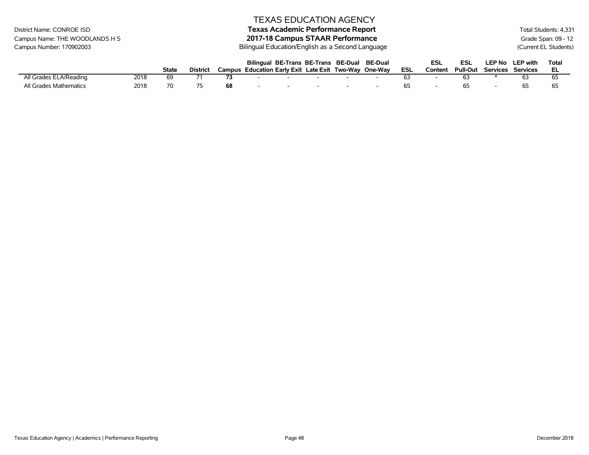TEXAS EDUCATION AGENCY District Name: CONROE ISD **Texas Academic Performance Report Texas Academic Performance Report** Total Students: 4,331 Campus Name: THE WOODLANDS H S **2017-18 Campus STAAR Performance** Grade Span: 09 - 12 Campus Number: 170902003 **Extinct Act and Society** Bilingual Education/English as a Second Language (Current EL Students) **Bilingual BE-Trans BE-Trans BE-Dual BE-Dual ESL ESL LEP No LEP with Total**

|                        |      | State | <b>District</b> | Campus | Education Early Exit Late Exit Two-Way |  | ________<br>One-Wav | ESL | --------<br>Content | -----<br><b>Pull-Out</b> | <b>Services</b> | -------<br>Services | ------ |
|------------------------|------|-------|-----------------|--------|----------------------------------------|--|---------------------|-----|---------------------|--------------------------|-----------------|---------------------|--------|
| All Grades ELA/Reading | 2018 |       |                 |        |                                        |  |                     |     |                     |                          |                 |                     |        |
| All Grades Mathematics | 2018 |       |                 |        |                                        |  |                     |     |                     |                          |                 |                     |        |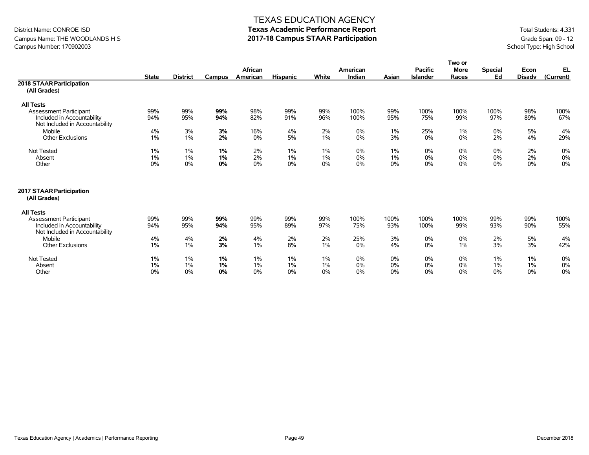#### TEXAS EDUCATION AGENCY

|                                          |              |                 |               |                |                 |       |          |       |                | Two or      |                |               |           |
|------------------------------------------|--------------|-----------------|---------------|----------------|-----------------|-------|----------|-------|----------------|-------------|----------------|---------------|-----------|
|                                          |              |                 |               | <b>African</b> |                 |       | American |       | <b>Pacific</b> | <b>More</b> | <b>Special</b> | Econ          | <b>EL</b> |
|                                          | <b>State</b> | <b>District</b> | <b>Campus</b> | American       | <b>Hispanic</b> | White | Indian   | Asian | Islander       | Races       | Ed             | <b>Disadv</b> | (Current) |
| 2018 STAAR Participation                 |              |                 |               |                |                 |       |          |       |                |             |                |               |           |
| (All Grades)                             |              |                 |               |                |                 |       |          |       |                |             |                |               |           |
| <b>All Tests</b>                         |              |                 |               |                |                 |       |          |       |                |             |                |               |           |
| <b>Assessment Participant</b>            | 99%          | 99%             | 99%           | 98%            | 99%             | 99%   | 100%     | 99%   | 100%           | 100%        | 100%           | 98%           | 100%      |
| Included in Accountability               | 94%          | 95%             | 94%           | 82%            | 91%             | 96%   | 100%     | 95%   | 75%            | 99%         | 97%            | 89%           | 67%       |
| Not Included in Accountability           |              |                 |               |                |                 |       |          |       |                |             |                |               |           |
| Mobile                                   | 4%           | 3%              | 3%            | 16%            | 4%              | 2%    | 0%       | 1%    | 25%            | $1\%$       | 0%             | 5%            | 4%        |
| <b>Other Exclusions</b>                  | 1%           | 1%              | 2%            | 0%             | 5%              | 1%    | 0%       | 3%    | 0%             | 0%          | 2%             | 4%            | 29%       |
|                                          |              |                 |               |                |                 |       |          |       |                |             |                |               |           |
| Not Tested                               | 1%           | 1%              | 1%            | 2%             | 1%              | 1%    | 0%       | 1%    | 0%             | 0%          | 0%             | 2%            | 0%        |
| Absent                                   | 1%           | 1%              | 1%            | 2%             | 1%              | 1%    | 0%       | 1%    | 0%             | 0%          | $0\%$          | 2%            | 0%        |
| Other                                    | 0%           | 0%              | 0%            | 0%             | 0%              | 0%    | 0%       | 0%    | 0%             | 0%          | 0%             | 0%            | 0%        |
| 2017 STAAR Participation<br>(All Grades) |              |                 |               |                |                 |       |          |       |                |             |                |               |           |
| <b>All Tests</b>                         |              |                 |               |                |                 |       |          |       |                |             |                |               |           |
| Assessment Participant                   | 99%          | 99%             | 99%           | 99%            | 99%             | 99%   | 100%     | 100%  | 100%           | 100%        | 99%            | 99%           | 100%      |
| Included in Accountability               | 94%          | 95%             | 94%           | 95%            | 89%             | 97%   | 75%      | 93%   | 100%           | 99%         | 93%            | 90%           | 55%       |
| Not Included in Accountability           |              |                 |               |                |                 |       |          |       |                |             |                |               |           |
| Mobile                                   | 4%           | 4%              | 2%            | 4%             | 2%              | 2%    | 25%      | 3%    | 0%             | 0%          | 2%             | 5%            | 4%        |
| <b>Other Exclusions</b>                  | 1%           | 1%              | 3%            | $1\%$          | 8%              | $1\%$ | 0%       | 4%    | 0%             | $1\%$       | 3%             | 3%            | 42%       |
|                                          |              |                 |               |                |                 |       |          |       |                |             |                |               |           |
| Not Tested                               | 1%           | 1%              | 1%            | 1%             | 1%              | 1%    | 0%       | 0%    | 0%             | 0%          | 1%             | 1%            | 0%        |
| Absent                                   | 1%           | 1%              | 1%            | 1%             | $1\%$           | $1\%$ | 0%       | 0%    | 0%             | 0%          | 1%             | 1%            | 0%        |
| Other                                    | 0%           | 0%              | 0%            | 0%             | 0%              | 0%    | 0%       | 0%    | 0%             | 0%          | $0\%$          | 0%            | 0%        |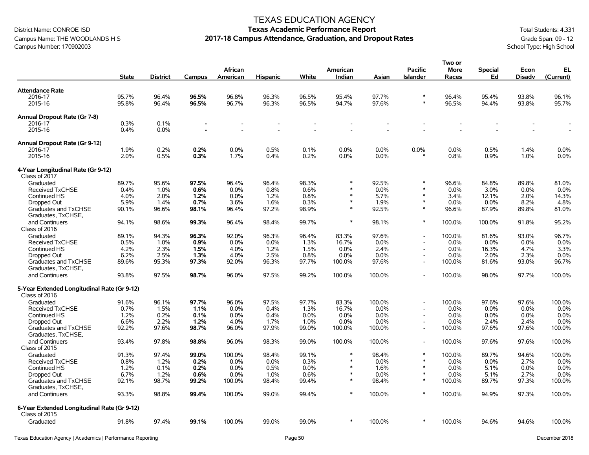Campus Name: THE WOODLANDS H S **2017-18 Campus Attendance, Graduation, and Dropout Rates** Grame: 19 Grade Span: 09 - 12<br>Campus Number: 170902003 Campus Number: 170902003

|                                                              |              |                 |               |          |                 |       |          |        |                          | Two or         |                |               |           |
|--------------------------------------------------------------|--------------|-----------------|---------------|----------|-----------------|-------|----------|--------|--------------------------|----------------|----------------|---------------|-----------|
|                                                              |              |                 |               | African  |                 |       | American |        | <b>Pacific</b>           | <b>More</b>    | <b>Special</b> | Econ          | EL        |
|                                                              | <b>State</b> | <b>District</b> | <b>Campus</b> | American | <b>Hispanic</b> | White | Indian   | Asian  | <b>Islander</b>          | Races          | Ed             | <b>Disadv</b> | (Current) |
| <b>Attendance Rate</b>                                       |              |                 |               |          |                 |       |          |        |                          |                |                |               |           |
| 2016-17                                                      | 95.7%        | 96.4%           | 96.5%         | 96.8%    | 96.3%           | 96.5% | 95.4%    | 97.7%  | $\ast$                   | 96.4%          | 95.4%          | 93.8%         | 96.1%     |
| 2015-16                                                      | 95.8%        | 96.4%           | 96.5%         | 96.7%    | 96.3%           | 96.5% | 94.7%    | 97.6%  | $\ast$                   | 96.5%          | 94.4%          | 93.8%         | 95.7%     |
|                                                              |              |                 |               |          |                 |       |          |        |                          |                |                |               |           |
| <b>Annual Dropout Rate (Gr 7-8)</b>                          |              |                 |               |          |                 |       |          |        |                          |                |                |               |           |
| 2016-17                                                      | 0.3%         | 0.1%            |               |          |                 |       |          |        |                          |                |                |               |           |
| 2015-16                                                      | 0.4%         | 0.0%            |               |          |                 |       |          |        |                          | $\overline{a}$ |                |               |           |
| Annual Dropout Rate (Gr 9-12)                                |              |                 |               |          |                 |       |          |        |                          |                |                |               |           |
| 2016-17                                                      | 1.9%         | 0.2%            | 0.2%          | 0.0%     | 0.5%            | 0.1%  | 0.0%     | 0.0%   | 0.0%                     | 0.0%           | 0.5%           | 1.4%          | 0.0%      |
| 2015-16                                                      | 2.0%         | 0.5%            | 0.3%          | 1.7%     | 0.4%            | 0.2%  | 0.0%     | 0.0%   |                          | 0.8%           | 0.9%           | 1.0%          | 0.0%      |
| 4-Year Longitudinal Rate (Gr 9-12)<br>Class of 2017          |              |                 |               |          |                 |       |          |        |                          |                |                |               |           |
| Graduated                                                    | 89.7%        | 95.6%           | 97.5%         | 96.4%    | 96.4%           | 98.3% | $\ast$   | 92.5%  | $\ast$                   | 96.6%          | 84.8%          | 89.8%         | 81.0%     |
| <b>Received TxCHSE</b>                                       | 0.4%         | 1.0%            | 0.6%          | 0.0%     | 0.8%            | 0.6%  | $\ast$   | 0.0%   | $\ast$                   | $0.0\%$        | 3.0%           | 0.0%          | 0.0%      |
| Continued HS                                                 | 4.0%         | 2.0%            | 1.2%          | 0.0%     | 1.2%            | 0.8%  | $\ast$   | 5.7%   | $\ast$                   | 3.4%           | 12.1%          | 2.0%          | 14.3%     |
| Dropped Out                                                  | 5.9%         | 1.4%            | 0.7%          | 3.6%     | 1.6%            | 0.3%  | $\ast$   | 1.9%   | $\ast$                   | 0.0%           | 0.0%           | 8.2%          | 4.8%      |
| Graduates and TxCHSE                                         | 90.1%        | 96.6%           | 98.1%         | 96.4%    | 97.2%           | 98.9% | $\ast$   | 92.5%  | $\ast$                   | 96.6%          | 87.9%          | 89.8%         | 81.0%     |
| Graduates, TxCHSE,                                           |              |                 |               |          |                 |       | $\ast$   |        | $\ast$                   |                |                |               |           |
| and Continuers<br>Class of 2016                              | 94.1%        | 98.6%           | 99.3%         | 96.4%    | 98.4%           | 99.7% |          | 98.1%  |                          | 100.0%         | 100.0%         | 91.8%         | 95.2%     |
| Graduated                                                    | 89.1%        | 94.3%           | 96.3%         | 92.0%    | 96.3%           | 96.4% | 83.3%    | 97.6%  | $\overline{a}$           | 100.0%         | 81.6%          | 93.0%         | 96.7%     |
| Received TxCHSE                                              | 0.5%         | 1.0%            | 0.9%          | 0.0%     | 0.0%            | 1.3%  | 16.7%    | 0.0%   | $\sim$                   | 0.0%           | 0.0%           | 0.0%          | 0.0%      |
| Continued HS                                                 | 4.2%         | 2.3%            | 1.5%          | 4.0%     | 1.2%            | 1.5%  | 0.0%     | 2.4%   | $\overline{\phantom{a}}$ | 0.0%           | 16.3%          | 4.7%          | 3.3%      |
| Dropped Out                                                  | 6.2%         | 2.5%            | 1.3%          | 4.0%     | 2.5%            | 0.8%  | 0.0%     | 0.0%   | $\sim$                   | 0.0%           | 2.0%           | 2.3%          | 0.0%      |
| Graduates and TxCHSE                                         | 89.6%        | 95.3%           | 97.3%         | 92.0%    | 96.3%           | 97.7% | 100.0%   | 97.6%  | $\blacksquare$           | 100.0%         | 81.6%          | 93.0%         | 96.7%     |
| Graduates, TxCHSE,                                           |              |                 |               |          |                 |       |          |        |                          |                |                |               |           |
| and Continuers                                               | 93.8%        | 97.5%           | 98.7%         | 96.0%    | 97.5%           | 99.2% | 100.0%   | 100.0% |                          | 100.0%         | 98.0%          | 97.7%         | 100.0%    |
| 5-Year Extended Longitudinal Rate (Gr 9-12)<br>Class of 2016 |              |                 |               |          |                 |       |          |        |                          |                |                |               |           |
| Graduated                                                    | 91.6%        | 96.1%           | 97.7%         | 96.0%    | 97.5%           | 97.7% | 83.3%    | 100.0% | $\sim$                   | 100.0%         | 97.6%          | 97.6%         | 100.0%    |
| <b>Received TxCHSE</b>                                       | 0.7%         | 1.5%            | 1.1%          | 0.0%     | 0.4%            | 1.3%  | 16.7%    | 0.0%   |                          | 0.0%           | 0.0%           | 0.0%          | 0.0%      |
| Continued HS                                                 | 1.2%         | 0.2%            | 0.1%          | 0.0%     | 0.4%            | 0.0%  | 0.0%     | 0.0%   | $\overline{\phantom{a}}$ | 0.0%           | 0.0%           | 0.0%          | 0.0%      |
| Dropped Out                                                  | 6.6%         | 2.2%            | 1.2%          | 4.0%     | 1.7%            | 1.0%  | 0.0%     | 0.0%   | $\blacksquare$           | 0.0%           | 2.4%           | 2.4%          | 0.0%      |
| Graduates and TxCHSE<br>Graduates, TxCHSE,                   | 92.2%        | 97.6%           | 98.7%         | 96.0%    | 97.9%           | 99.0% | 100.0%   | 100.0% | $\overline{a}$           | 100.0%         | 97.6%          | 97.6%         | 100.0%    |
| and Continuers                                               | 93.4%        | 97.8%           | 98.8%         | 96.0%    | 98.3%           | 99.0% | 100.0%   | 100.0% | $\overline{a}$           | 100.0%         | 97.6%          | 97.6%         | 100.0%    |
| Class of 2015                                                |              |                 |               |          |                 |       |          |        |                          |                |                |               |           |
| Graduated                                                    | 91.3%        | 97.4%           | 99.0%         | 100.0%   | 98.4%           | 99.1% | $\ast$   | 98.4%  | $\ast$                   | 100.0%         | 89.7%          | 94.6%         | 100.0%    |
| <b>Received TxCHSE</b>                                       | 0.8%         | 1.2%            | 0.2%          | 0.0%     | 0.0%            | 0.3%  | $\ast$   | 0.0%   | $\ast$                   | 0.0%           | 0.0%           | 2.7%          | 0.0%      |
| Continued HS                                                 | 1.2%         | 0.1%            | 0.2%          | 0.0%     | 0.5%            | 0.0%  | $\ast$   | 1.6%   | $\ast$                   | 0.0%           | 5.1%           | 0.0%          | 0.0%      |
| Dropped Out                                                  | 6.7%         | 1.2%            | 0.6%          | 0.0%     | 1.0%            | 0.6%  | $\ast$   | 0.0%   | $\ast$                   | 0.0%           | 5.1%           | 2.7%          | 0.0%      |
| Graduates and TxCHSE<br>Graduates, TxCHSE,                   | 92.1%        | 98.7%           | 99.2%         | 100.0%   | 98.4%           | 99.4% | $\ast$   | 98.4%  | $\ast$                   | 100.0%         | 89.7%          | 97.3%         | 100.0%    |
| and Continuers                                               | 93.3%        | 98.8%           | 99.4%         | 100.0%   | 99.0%           | 99.4% | $\ast$   | 100.0% | $\ast$                   | 100.0%         | 94.9%          | 97.3%         | 100.0%    |
| 6-Year Extended Longitudinal Rate (Gr 9-12)<br>Class of 2015 |              |                 |               |          |                 |       |          |        |                          |                |                |               |           |
| Graduated                                                    | 91.8%        | 97.4%           | 99.1%         | 100.0%   | 99.0%           | 99.0% |          | 100.0% |                          | 100.0%         | 94.6%          | 94.6%         | 100.0%    |
|                                                              |              |                 |               |          |                 |       |          |        |                          |                |                |               |           |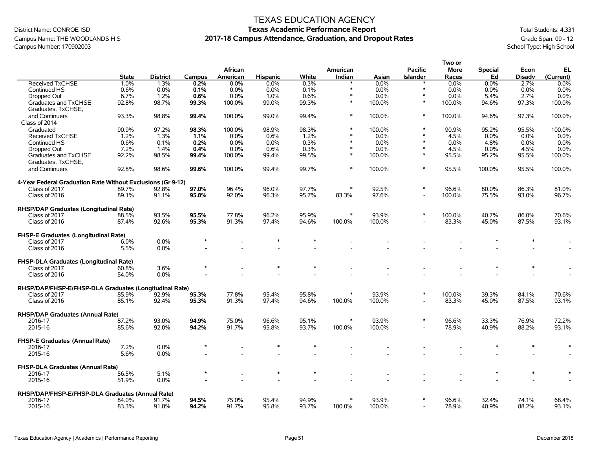### Campus Name: THE WOODLANDS H S **2017-18 Campus Attendance, Graduation, and Dropout Rates** Grame: 19 Grade Span: 09 - 12<br>Campus Number: 170902003 Campus Number: 170902003

#### TEXAS EDUCATION AGENCY

|                                                             |              |                 |               |                |                 |        |          |         |                 | Two or      |                |               |           |
|-------------------------------------------------------------|--------------|-----------------|---------------|----------------|-----------------|--------|----------|---------|-----------------|-------------|----------------|---------------|-----------|
|                                                             |              |                 |               | <b>African</b> |                 |        | American |         | <b>Pacific</b>  | <b>More</b> | <b>Special</b> | Econ          | EL        |
|                                                             | <b>State</b> | <b>District</b> | <b>Campus</b> | American       | <b>Hispanic</b> | White  | Indian   | Asian   | <b>Islander</b> | Races       | Ed             | <b>Disadv</b> | (Current) |
| <b>Received TxCHSE</b>                                      | 1.0%         | 1.3%            | 0.2%          | 0.0%           | 0.0%            | 0.3%   |          | 0.0%    |                 | 0.0%        | 0.0%           | 2.7%          | 0.0%      |
| Continued HS                                                | 0.6%         | $0.0\%$         | 0.1%          | 0.0%           | 0.0%            | 0.1%   | $\ast$   | 0.0%    | $\ast$          | 0.0%        | $0.0\%$        | 0.0%          | 0.0%      |
| Dropped Out                                                 | 6.7%         | 1.2%            | 0.6%          | 0.0%           | 1.0%            | 0.6%   | $\ast$   | 0.0%    | $\ast$          | 0.0%        | 5.4%           | 2.7%          | 0.0%      |
| Graduates and TxCHSE                                        | 92.8%        | 98.7%           | 99.3%         | 100.0%         | 99.0%           | 99.3%  | $\ast$   | 100.0%  | $\ast$          | 100.0%      | 94.6%          | 97.3%         | 100.0%    |
| Graduates, TxCHSE,                                          |              |                 |               |                |                 |        |          |         |                 |             |                |               |           |
| and Continuers                                              | 93.3%        | 98.8%           | 99.4%         | 100.0%         | 99.0%           | 99.4%  | $\ast$   | 100.0%  | $\ast$          | 100.0%      | 94.6%          | 97.3%         | 100.0%    |
| Class of 2014                                               |              |                 |               |                |                 |        |          |         |                 |             |                |               |           |
| Graduated                                                   | 90.9%        | 97.2%           | 98.3%         | 100.0%         | 98.9%           | 98.3%  | $\ast$   | 100.0%  | $\ast$          | 90.9%       | 95.2%          | 95.5%         | 100.0%    |
| <b>Received TxCHSE</b>                                      | 1.2%         | 1.3%            | 1.1%          | 0.0%           | 0.6%            | 1.2%   | $\ast$   | $0.0\%$ | $\ast$          | 4.5%        | $0.0\%$        | 0.0%          | 0.0%      |
| Continued HS                                                | 0.6%         | $0.1\%$         | 0.2%          | 0.0%           | 0.0%            | 0.3%   | $\ast$   | 0.0%    | $\ast$          | 0.0%        | 4.8%           | 0.0%          | 0.0%      |
| Dropped Out                                                 | 7.2%         | 1.4%            | 0.4%          | $0.0\%$        | 0.6%            | 0.3%   | $\ast$   | 0.0%    | $\ast$          | 4.5%        | $0.0\%$        | 4.5%          | 0.0%      |
| Graduates and TxCHSE                                        | 92.2%        | 98.5%           | 99.4%         | 100.0%         | 99.4%           | 99.5%  | $\ast$   | 100.0%  | $\ast$          | 95.5%       | 95.2%          | 95.5%         | 100.0%    |
| Graduates, TxCHSE,                                          |              |                 |               |                |                 |        |          |         |                 |             |                |               |           |
|                                                             |              |                 |               |                |                 |        | $\ast$   |         | $\ast$          |             |                |               |           |
| and Continuers                                              | 92.8%        | 98.6%           | 99.6%         | 100.0%         | 99.4%           | 99.7%  |          | 100.0%  |                 | 95.5%       | 100.0%         | 95.5%         | 100.0%    |
| 4-Year Federal Graduation Rate Without Exclusions (Gr 9-12) |              |                 |               |                |                 |        |          |         |                 |             |                |               |           |
| Class of 2017                                               | 89.7%        | 92.8%           | 97.0%         | 96.4%          | 96.0%           | 97.7%  | $\ast$   | 92.5%   | $\ast$          | 96.6%       | 80.0%          | 86.3%         | 81.0%     |
| Class of 2016                                               | 89.1%        | 91.1%           | 95.8%         | 92.0%          | 96.3%           | 95.7%  | 83.3%    | 97.6%   |                 | 100.0%      | 75.5%          | 93.0%         | 96.7%     |
|                                                             |              |                 |               |                |                 |        |          |         |                 |             |                |               |           |
| RHSP/DAP Graduates (Longitudinal Rate)                      |              |                 |               |                |                 |        |          |         |                 |             |                |               |           |
| Class of 2017                                               | 88.5%        | 93.5%           | 95.5%         | 77.8%          | 96.2%           | 95.9%  | $\ast$   | 93.9%   | $\ast$          | 100.0%      | 40.7%          | 86.0%         | 70.6%     |
| Class of 2016                                               | 87.4%        | 92.6%           | 95.3%         | 91.3%          | 97.4%           | 94.6%  | 100.0%   | 100.0%  |                 | 83.3%       | 45.0%          | 87.5%         | 93.1%     |
|                                                             |              |                 |               |                |                 |        |          |         |                 |             |                |               |           |
| <b>FHSP-E Graduates (Longitudinal Rate)</b>                 |              |                 |               |                |                 |        |          |         |                 |             |                |               |           |
| Class of 2017                                               | 6.0%         | 0.0%            | $\star$       |                |                 |        |          |         |                 |             |                | $\ast$        |           |
| Class of 2016                                               | 5.5%         | 0.0%            |               |                |                 |        |          |         |                 |             |                |               |           |
|                                                             |              |                 |               |                |                 |        |          |         |                 |             |                |               |           |
| FHSP-DLA Graduates (Longitudinal Rate)                      |              |                 |               |                |                 |        |          |         |                 |             |                |               |           |
| Class of 2017                                               | 60.8%        | 3.6%            | $\star$       |                | $\ast$          | $\ast$ |          |         |                 |             | $\ast$         | $\ast$        |           |
| Class of 2016                                               | 54.0%        | 0.0%            |               |                |                 |        |          |         |                 |             |                |               |           |
|                                                             |              |                 |               |                |                 |        |          |         |                 |             |                |               |           |
| RHSP/DAP/FHSP-E/FHSP-DLA Graduates (Longitudinal Rate)      |              |                 |               |                |                 |        |          |         |                 |             |                |               |           |
| Class of 2017                                               | 85.9%        | 92.9%           | 95.3%         | 77.8%          | 95.4%           | 95.8%  | $\ast$   | 93.9%   |                 | 100.0%      | 39.3%          | 84.1%         | 70.6%     |
| Class of 2016                                               | 85.1%        | 92.4%           | 95.3%         | 91.3%          | 97.4%           | 94.6%  | 100.0%   | 100.0%  |                 | 83.3%       | 45.0%          | 87.5%         | 93.1%     |
|                                                             |              |                 |               |                |                 |        |          |         |                 |             |                |               |           |
| RHSP/DAP Graduates (Annual Rate)                            |              |                 |               |                |                 |        |          |         |                 |             |                |               |           |
| 2016-17                                                     | 87.2%        | 93.0%           | 94.9%         | 75.0%          | 96.6%           | 95.1%  | $\ast$   | 93.9%   | $\ast$          | 96.6%       | 33.3%          | 76.9%         | 72.2%     |
| 2015-16                                                     | 85.6%        | 92.0%           | 94.2%         | 91.7%          | 95.8%           | 93.7%  | 100.0%   | 100.0%  |                 | 78.9%       | 40.9%          | 88.2%         | 93.1%     |
|                                                             |              |                 |               |                |                 |        |          |         |                 |             |                |               |           |
| <b>FHSP-E Graduates (Annual Rate)</b>                       |              |                 |               |                |                 |        |          |         |                 |             |                |               |           |
| 2016-17                                                     | 7.2%         | 0.0%            | $\star$       |                |                 |        |          |         |                 |             | $\ast$         | $\ast$        |           |
| 2015-16                                                     | 5.6%         | 0.0%            |               |                |                 |        |          |         |                 |             |                |               |           |
|                                                             |              |                 |               |                |                 |        |          |         |                 |             |                |               |           |
| FHSP-DLA Graduates (Annual Rate)                            |              |                 |               |                |                 |        |          |         |                 |             |                | $\ast$        |           |
| 2016-17                                                     | 56.5%        | 5.1%            |               |                |                 |        |          |         |                 |             |                |               |           |
| 2015-16                                                     | 51.9%        | 0.0%            |               |                |                 |        |          |         |                 |             |                |               |           |
| RHSP/DAP/FHSP-E/FHSP-DLA Graduates (Annual Rate)            |              |                 |               |                |                 |        |          |         |                 |             |                |               |           |
| 2016-17                                                     | 84.0%        | 91.7%           | 94.5%         | 75.0%          | 95.4%           | 94.9%  | $\ast$   | 93.9%   |                 | 96.6%       | 32.4%          | 74.1%         | 68.4%     |
| 2015-16                                                     | 83.3%        | 91.8%           | 94.2%         | 91.7%          | 95.8%           | 93.7%  | 100.0%   | 100.0%  |                 | 78.9%       | 40.9%          | 88.2%         | 93.1%     |
|                                                             |              |                 |               |                |                 |        |          |         |                 |             |                |               |           |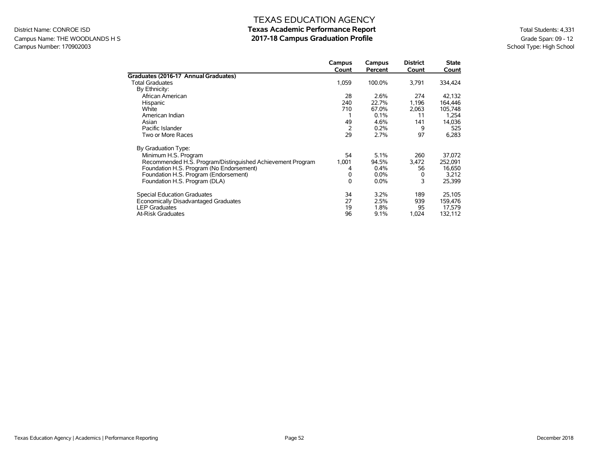# District Name: CONROE ISD **Texas Academic Performance Report Texas Academic Performance Report** Total Students: 4,331

|                                                            | Campus<br>Count | Campus<br>Percent | <b>District</b><br>Count | <b>State</b><br><b>Count</b> |
|------------------------------------------------------------|-----------------|-------------------|--------------------------|------------------------------|
| Graduates (2016-17 Annual Graduates)                       |                 |                   |                          |                              |
| <b>Total Graduates</b>                                     | 1,059           | 100.0%            | 3,791                    | 334,424                      |
| By Ethnicity:                                              |                 |                   |                          |                              |
| African American                                           | 28              | 2.6%              | 274                      | 42,132                       |
| Hispanic                                                   | 240             | 22.7%             | 1.196                    | 164.446                      |
| White                                                      | 710             | 67.0%             | 2,063                    | 105,748                      |
| American Indian                                            |                 | 0.1%              | 11                       | 1,254                        |
| Asian                                                      | 49              | 4.6%              | 141                      | 14,036                       |
| Pacific Islander                                           | 2               | 0.2%              | 9                        | 525                          |
| Two or More Races                                          | 29              | 2.7%              | 97                       | 6,283                        |
| By Graduation Type:                                        |                 |                   |                          |                              |
| Minimum H.S. Program                                       | 54              | 5.1%              | 260                      | 37,072                       |
| Recommended H.S. Program/Distinguished Achievement Program | 1,001           | 94.5%             | 3,472                    | 252,091                      |
| Foundation H.S. Program (No Endorsement)                   | 4               | $0.4\%$           | 56                       | 16,650                       |
| Foundation H.S. Program (Endorsement)                      | 0               | $0.0\%$           | 0                        | 3,212                        |
| Foundation H.S. Program (DLA)                              | 0               | $0.0\%$           | 3                        | 25,399                       |
| <b>Special Education Graduates</b>                         | 34              | 3.2%              | 189                      | 25,105                       |
| Economically Disadvantaged Graduates                       | 27              | 2.5%              | 939                      | 159,476                      |
| <b>LEP Graduates</b>                                       | 19              | 1.8%              | 95                       | 17,579                       |
| <b>At-Risk Graduates</b>                                   | 96              | 9.1%              | 1,024                    | 132,112                      |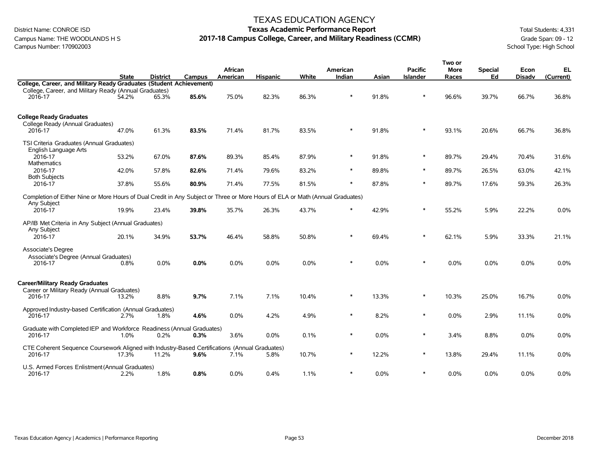Campus Number: 170902003

### District Name: CONROE ISD **Texas Academic Performance Report Texas Academic Performance Report** Total Students: 4,331

# Campus Name: THE WOODLANDS H S **2017-18 Campus College, Career, and Military Readiness (CCMR)** Grade Span: 09 - 12<br>Campus Number: 170902003<br>School Type: High School

|                                                                                                                                               |              | <b>District</b> |         | African<br>American | <b>Hispanic</b> | White | American<br>Indian |         | <b>Pacific</b>  | Two or<br><b>More</b> | <b>Special</b><br>Ed | Econ<br><b>Disadv</b> | EL        |
|-----------------------------------------------------------------------------------------------------------------------------------------------|--------------|-----------------|---------|---------------------|-----------------|-------|--------------------|---------|-----------------|-----------------------|----------------------|-----------------------|-----------|
| College, Career, and Military Ready Graduates (Student Achievement)                                                                           | <b>State</b> |                 | Campus  |                     |                 |       |                    | Asian   | <b>Islander</b> | Races                 |                      |                       | (Current) |
| College, Career, and Military Ready (Annual Graduates)                                                                                        |              |                 |         |                     |                 |       |                    |         |                 |                       |                      |                       |           |
| 2016-17                                                                                                                                       | 54.2%        | 65.3%           | 85.6%   | 75.0%               | 82.3%           | 86.3% |                    | 91.8%   | $\ast$          | 96.6%                 | 39.7%                | 66.7%                 | 36.8%     |
| <b>College Ready Graduates</b>                                                                                                                |              |                 |         |                     |                 |       |                    |         |                 |                       |                      |                       |           |
| College Ready (Annual Graduates)                                                                                                              |              |                 |         |                     |                 |       |                    |         |                 |                       |                      |                       |           |
| 2016-17                                                                                                                                       | 47.0%        | 61.3%           | 83.5%   | 71.4%               | 81.7%           | 83.5% | $\ast$             | 91.8%   | $\ast$          | 93.1%                 | 20.6%                | 66.7%                 | 36.8%     |
| TSI Criteria Graduates (Annual Graduates)<br>English Language Arts                                                                            |              |                 |         |                     |                 |       |                    |         |                 |                       |                      |                       |           |
| 2016-17                                                                                                                                       | 53.2%        | 67.0%           | 87.6%   | 89.3%               | 85.4%           | 87.9% | $\ast$             | 91.8%   | $\ast$          | 89.7%                 | 29.4%                | 70.4%                 | 31.6%     |
| <b>Mathematics</b>                                                                                                                            |              |                 |         |                     |                 |       |                    |         |                 |                       |                      |                       |           |
| 2016-17                                                                                                                                       | 42.0%        | 57.8%           | 82.6%   | 71.4%               | 79.6%           | 83.2% | $\ast$             | 89.8%   | $\ast$          | 89.7%                 | 26.5%                | 63.0%                 | 42.1%     |
| <b>Both Subjects</b><br>2016-17                                                                                                               | 37.8%        | 55.6%           | 80.9%   | 71.4%               | 77.5%           | 81.5% | $\ast$             | 87.8%   | $\ast$          | 89.7%                 | 17.6%                | 59.3%                 | 26.3%     |
| Completion of Either Nine or More Hours of Dual Credit in Any Subject or Three or More Hours of ELA or Math (Annual Graduates)<br>Any Subject |              |                 |         |                     |                 |       |                    |         |                 |                       |                      |                       |           |
| 2016-17                                                                                                                                       | 19.9%        | 23.4%           | 39.8%   | 35.7%               | 26.3%           | 43.7% |                    | 42.9%   | $\ast$          | 55.2%                 | 5.9%                 | 22.2%                 | 0.0%      |
| AP/IB Met Criteria in Any Subject (Annual Graduates)<br>Any Subject                                                                           |              |                 |         |                     |                 |       |                    |         |                 |                       |                      |                       |           |
| 2016-17                                                                                                                                       | 20.1%        | 34.9%           | 53.7%   | 46.4%               | 58.8%           | 50.8% |                    | 69.4%   | $\ast$          | 62.1%                 | 5.9%                 | 33.3%                 | 21.1%     |
| Associate's Degree                                                                                                                            |              |                 |         |                     |                 |       |                    |         |                 |                       |                      |                       |           |
| Associate's Degree (Annual Graduates)                                                                                                         |              |                 |         |                     |                 |       |                    |         |                 |                       |                      |                       |           |
| 2016-17                                                                                                                                       | 0.8%         | 0.0%            | 0.0%    | 0.0%                | 0.0%            | 0.0%  |                    | 0.0%    | $\ast$          | 0.0%                  | 0.0%                 | 0.0%                  | 0.0%      |
|                                                                                                                                               |              |                 |         |                     |                 |       |                    |         |                 |                       |                      |                       |           |
| <b>Career/Military Ready Graduates</b>                                                                                                        |              |                 |         |                     |                 |       |                    |         |                 |                       |                      |                       |           |
| Career or Military Ready (Annual Graduates)                                                                                                   |              |                 |         |                     |                 |       |                    |         |                 |                       |                      |                       |           |
| 2016-17                                                                                                                                       | 13.2%        | 8.8%            | 9.7%    | 7.1%                | 7.1%            | 10.4% | $\ast$             | 13.3%   | $\ast$          | 10.3%                 | 25.0%                | 16.7%                 | 0.0%      |
| Approved Industry-based Certification (Annual Graduates)                                                                                      |              |                 |         |                     |                 |       |                    |         |                 |                       |                      |                       |           |
| 2016-17                                                                                                                                       | 2.7%         | 1.8%            | 4.6%    | 0.0%                | 4.2%            | 4.9%  | $\ast$             | 8.2%    | $\ast$          | $0.0\%$               | 2.9%                 | 11.1%                 | 0.0%      |
| Graduate with Completed IEP and Workforce Readiness (Annual Graduates)                                                                        |              |                 |         |                     |                 |       |                    |         |                 |                       |                      |                       |           |
| 2016-17                                                                                                                                       | 1.0%         | 0.2%            | $0.3\%$ | 3.6%                | 0.0%            | 0.1%  | $\ast$             | 0.0%    | $\ast$          | 3.4%                  | 8.8%                 | 0.0%                  | 0.0%      |
| CTE Coherent Sequence Coursework Aligned with Industry-Based Certifications (Annual Graduates)                                                |              |                 |         |                     |                 |       |                    |         |                 |                       |                      |                       |           |
| 2016-17                                                                                                                                       | 17.3%        | 11.2%           | $9.6\%$ | 7.1%                | 5.8%            | 10.7% | $\ast$             | 12.2%   | $\ast$          | 13.8%                 | 29.4%                | 11.1%                 | 0.0%      |
| U.S. Armed Forces Enlistment (Annual Graduates)                                                                                               |              |                 |         |                     |                 |       |                    |         |                 |                       |                      |                       |           |
| 2016-17                                                                                                                                       | 2.2%         | 1.8%            | $0.8\%$ | $0.0\%$             | 0.4%            | 1.1%  | $\ast$             | $0.0\%$ | $\ast$          | $0.0\%$               | $0.0\%$              | $0.0\%$               | 0.0%      |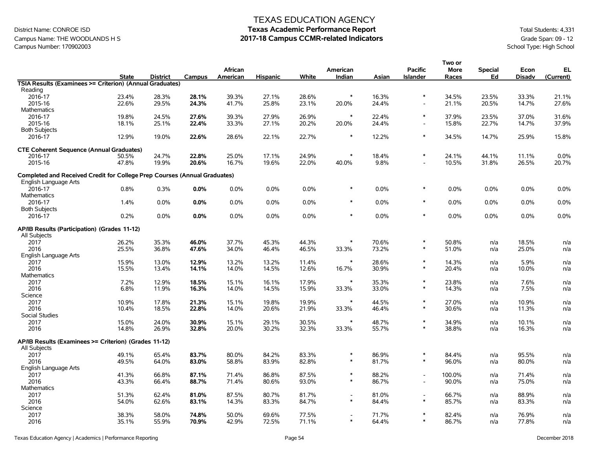### TEXAS EDUCATION AGENCY

# District Name: CONROE ISD **Texas Academic Performance Report Texas Academic Performance Report** Total Students: 4,331

**Two or**

|                                                                                                           |              |                 |        | African  |                 |       | American                 |         | <b>Pacific</b>           | <b>More</b> | <b>Special</b> | Econ          | EL        |
|-----------------------------------------------------------------------------------------------------------|--------------|-----------------|--------|----------|-----------------|-------|--------------------------|---------|--------------------------|-------------|----------------|---------------|-----------|
|                                                                                                           | <b>State</b> | <b>District</b> | Campus | American | <b>Hispanic</b> | White | Indian                   | Asian   | Islander                 | Races       | Ed             | <b>Disadv</b> | (Current) |
| TSIA Results (Examinees >= Criterion) (Annual Graduates)                                                  |              |                 |        |          |                 |       |                          |         |                          |             |                |               |           |
| Reading                                                                                                   |              |                 |        |          |                 |       |                          |         |                          |             |                |               |           |
| 2016-17                                                                                                   | 23.4%        | 28.3%           | 28.1%  | 39.3%    | 27.1%           | 28.6% | $\ast$                   | 16.3%   | $\ast$                   | 34.5%       | 23.5%          | 33.3%         | 21.1%     |
| 2015-16                                                                                                   | 22.6%        | 29.5%           | 24.3%  | 41.7%    | 25.8%           | 23.1% | 20.0%                    | 24.4%   | $\overline{\phantom{a}}$ | 21.1%       | 20.5%          | 14.7%         | 27.6%     |
| Mathematics                                                                                               |              |                 |        |          |                 |       |                          |         |                          |             |                |               |           |
| 2016-17                                                                                                   | 19.8%        | 24.5%           | 27.6%  | 39.3%    | 27.9%           | 26.9% | $\ast$                   | 22.4%   | $\ast$                   | 37.9%       | 23.5%          | 37.0%         | 31.6%     |
| 2015-16                                                                                                   | 18.1%        | 25.1%           | 22.4%  | 33.3%    | 27.1%           | 20.2% | 20.0%                    | 24.4%   | $\blacksquare$           | 15.8%       | 22.7%          | 14.7%         | 37.9%     |
| <b>Both Subjects</b>                                                                                      |              |                 |        |          |                 |       |                          |         |                          |             |                |               |           |
| 2016-17                                                                                                   | 12.9%        | 19.0%           | 22.6%  | 28.6%    | 22.1%           | 22.7% | $\ast$                   | 12.2%   | $\ast$                   | 34.5%       | 14.7%          | 25.9%         | 15.8%     |
| <b>CTE Coherent Sequence (Annual Graduates)</b>                                                           |              |                 |        |          |                 |       |                          |         |                          |             |                |               |           |
| 2016-17                                                                                                   | 50.5%        | 24.7%           | 22.8%  | 25.0%    | 17.1%           | 24.9% | $\ast$                   | 18.4%   | $\ast$                   | 24.1%       | 44.1%          | 11.1%         | 0.0%      |
| 2015-16                                                                                                   | 47.8%        | 19.9%           | 20.6%  | 16.7%    | 19.6%           | 22.0% | 40.0%                    | 9.8%    | $\blacksquare$           | 10.5%       | 31.8%          | 26.5%         | 20.7%     |
| <b>Completed and Received Credit for College Prep Courses (Annual Graduates)</b><br>English Language Arts |              |                 |        |          |                 |       |                          |         |                          |             |                |               |           |
| 2016-17                                                                                                   | 0.8%         | 0.3%            | 0.0%   | 0.0%     | 0.0%            | 0.0%  | $\ast$                   | 0.0%    | $\ast$                   | 0.0%        | 0.0%           | 0.0%          | 0.0%      |
| Mathematics                                                                                               |              |                 |        |          |                 |       |                          |         |                          |             |                |               |           |
| 2016-17                                                                                                   | 1.4%         | 0.0%            | 0.0%   | 0.0%     | 0.0%            | 0.0%  | $\ast$                   | $0.0\%$ | $\ast$                   | 0.0%        | 0.0%           | 0.0%          | 0.0%      |
| <b>Both Subjects</b>                                                                                      |              |                 |        |          |                 |       |                          |         |                          |             |                |               |           |
| 2016-17                                                                                                   | 0.2%         | 0.0%            | 0.0%   | 0.0%     | 0.0%            | 0.0%  | $\ast$                   | $0.0\%$ | $\ast$                   | 0.0%        | 0.0%           | 0.0%          | 0.0%      |
|                                                                                                           |              |                 |        |          |                 |       |                          |         |                          |             |                |               |           |
| AP/IB Results (Participation) (Grades 11-12)                                                              |              |                 |        |          |                 |       |                          |         |                          |             |                |               |           |
| All Subjects                                                                                              |              |                 |        |          |                 |       | $\ast$                   |         | $\ast$                   |             |                |               |           |
| 2017                                                                                                      | 26.2%        | 35.3%           | 46.0%  | 37.7%    | 45.3%           | 44.3% |                          | 70.6%   | $\ast$                   | 50.8%       | n/a            | 18.5%         | n/a       |
| 2016                                                                                                      | 25.5%        | 36.8%           | 47.6%  | 34.0%    | 46.4%           | 46.5% | 33.3%                    | 73.2%   |                          | 51.0%       | n/a            | 25.0%         | n/a       |
| English Language Arts                                                                                     |              |                 |        |          |                 |       | $\ast$                   |         | $\ast$                   |             |                |               |           |
| 2017                                                                                                      | 15.9%        | 13.0%           | 12.9%  | 13.2%    | 13.2%           | 11.4% |                          | 28.6%   | $\ast$                   | 14.3%       | n/a            | 5.9%          | n/a       |
| 2016                                                                                                      | 15.5%        | 13.4%           | 14.1%  | 14.0%    | 14.5%           | 12.6% | 16.7%                    | 30.9%   |                          | 20.4%       | n/a            | 10.0%         | n/a       |
| <b>Mathematics</b>                                                                                        |              |                 |        |          |                 |       | $\ast$                   |         | $\ast$                   |             |                |               |           |
| 2017                                                                                                      | 7.2%         | 12.9%           | 18.5%  | 15.1%    | 16.1%           | 17.9% |                          | 35.3%   | $\ast$                   | 23.8%       | n/a            | 7.6%          | n/a       |
| 2016                                                                                                      | 6.8%         | 11.9%           | 16.3%  | 14.0%    | 14.5%           | 15.9% | 33.3%                    | 33.0%   |                          | 14.3%       | n/a            | 7.5%          | n/a       |
| Science                                                                                                   |              |                 |        |          |                 |       | $\ast$                   |         | $\ast$                   |             |                |               |           |
| 2017                                                                                                      | 10.9%        | 17.8%           | 21.3%  | 15.1%    | 19.8%           | 19.9% |                          | 44.5%   | $\ast$                   | 27.0%       | n/a            | 10.9%         | n/a       |
| 2016                                                                                                      | 10.4%        | 18.5%           | 22.8%  | 14.0%    | 20.6%           | 21.9% | 33.3%                    | 46.4%   |                          | 30.6%       | n/a            | 11.3%         | n/a       |
| Social Studies                                                                                            |              |                 |        |          |                 |       | $\ast$                   |         | $\ast$                   |             |                |               |           |
| 2017                                                                                                      | 15.0%        | 24.0%           | 30.9%  | 15.1%    | 29.1%           | 30.5% |                          | 48.7%   | $\ast$                   | 34.9%       | n/a            | 10.1%         | n/a       |
| 2016                                                                                                      | 14.8%        | 26.9%           | 32.8%  | 20.0%    | 30.2%           | 32.3% | 33.3%                    | 55.7%   |                          | 38.8%       | n/a            | 16.3%         | n/a       |
| AP/IB Results (Examinees >= Criterion) (Grades 11-12)<br>All Subjects                                     |              |                 |        |          |                 |       |                          |         |                          |             |                |               |           |
| 2017                                                                                                      | 49.1%        | 65.4%           | 83.7%  | 80.0%    | 84.2%           | 83.3% | $\ast$                   | 86.9%   | $\ast$                   | 84.4%       | n/a            | 95.5%         | n/a       |
| 2016                                                                                                      | 49.5%        | 64.0%           | 83.0%  | 58.8%    | 83.9%           | 82.8% | $\ast$                   | 81.7%   | $\ast$                   | 96.0%       | n/a            | 80.0%         | n/a       |
| English Language Arts                                                                                     |              |                 |        |          |                 |       |                          |         |                          |             |                |               |           |
| 2017                                                                                                      | 41.3%        | 66.8%           | 87.1%  | 71.4%    | 86.8%           | 87.5% | $\ast$                   | 88.2%   | $\overline{\phantom{a}}$ | 100.0%      | n/a            | 71.4%         | n/a       |
| 2016                                                                                                      | 43.3%        | 66.4%           | 88.7%  | 71.4%    | 80.6%           | 93.0% | $\ast$                   | 86.7%   | $\overline{a}$           | 90.0%       | n/a            | 75.0%         | n/a       |
| Mathematics                                                                                               |              |                 |        |          |                 |       |                          |         |                          |             |                |               |           |
| 2017                                                                                                      | 51.3%        | 62.4%           | 81.0%  | 87.5%    | 80.7%           | 81.7% | $\overline{\phantom{a}}$ | 81.0%   | $\blacksquare$           | 66.7%       | n/a            | 88.9%         | n/a       |
| 2016                                                                                                      | 54.0%        | 62.6%           | 83.1%  | 14.3%    | 83.3%           | 84.7% | $\ast$                   | 84.4%   | $\ast$                   | 85.7%       | n/a            | 83.3%         | n/a       |
| Science                                                                                                   |              |                 |        |          |                 |       |                          |         |                          |             |                |               |           |
| 2017                                                                                                      | 38.3%        | 58.0%           | 74.8%  | 50.0%    | 69.6%           | 77.5% | $\overline{\phantom{a}}$ | 71.7%   | $\ast$                   | 82.4%       | n/a            | 76.9%         | n/a       |
| 2016                                                                                                      | 35.1%        | 55.9%           | 70.9%  | 42.9%    | 72.5%           | 71.1% | $\ast$                   | 64.4%   | $\ast$                   | 86.7%       | n/a            | 77.8%         | n/a       |
|                                                                                                           |              |                 |        |          |                 |       |                          |         |                          |             |                |               |           |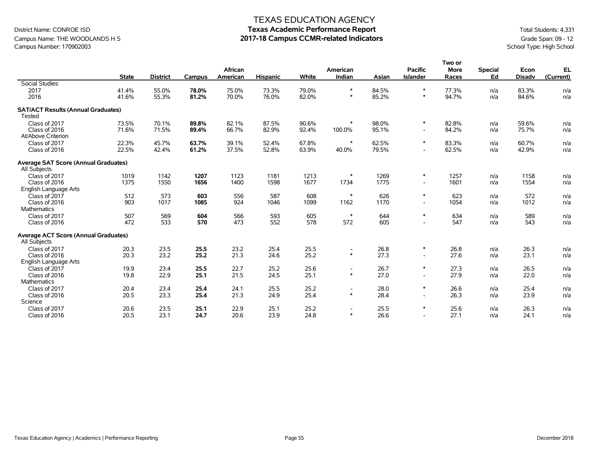### TEXAS EDUCATION AGENCY

|                                                      |              |                 |               | African  |                 |       | American                 |       | <b>Pacific</b>           | Two or<br><b>More</b> | <b>Special</b> | Econ          | EL        |
|------------------------------------------------------|--------------|-----------------|---------------|----------|-----------------|-------|--------------------------|-------|--------------------------|-----------------------|----------------|---------------|-----------|
|                                                      | <b>State</b> | <b>District</b> | <b>Campus</b> | American | <b>Hispanic</b> | White | Indian                   | Asian | <b>Islander</b>          | Races                 | Ed             | <b>Disadv</b> | (Current) |
| Social Studies                                       |              |                 |               |          |                 |       |                          |       |                          |                       |                |               |           |
| 2017                                                 | 41.4%        | 55.0%           | 78.0%         | 75.0%    | 73.3%           | 79.0% | $\ast$                   | 84.5% | $\ast$                   | 77.3%                 | n/a            | 83.3%         | n/a       |
| 2016                                                 | 41.6%        | 55.3%           | 81.2%         | 70.0%    | 76.0%           | 82.0% | $*$                      | 85.2% | $\ast$                   | 94.7%                 | n/a            | 84.6%         | n/a       |
| <b>SAT/ACT Results (Annual Graduates)</b>            |              |                 |               |          |                 |       |                          |       |                          |                       |                |               |           |
| Tested                                               |              |                 |               |          |                 |       |                          |       |                          |                       |                |               |           |
| Class of 2017                                        | 73.5%        | 70.1%           | 89.8%         | 82.1%    | 87.5%           | 90.6% | $\ast$                   | 98.0% | $\ast$                   | 82.8%                 | n/a            | 59.6%         | n/a       |
| Class of 2016                                        | 71.6%        | 71.5%           | 89.4%         | 66.7%    | 82.9%           | 92.4% | 100.0%                   | 95.1% | $\overline{\phantom{a}}$ | 84.2%                 | n/a            | 75.7%         | n/a       |
| At/Above Criterion                                   |              |                 |               |          |                 |       |                          |       |                          |                       |                |               |           |
| Class of 2017                                        | 22.3%        | 45.7%           | 63.7%         | 39.1%    | 52.4%           | 67.8% | $\ast$                   | 62.5% | $\ast$                   | 83.3%                 | n/a            | 60.7%         | n/a       |
| Class of 2016                                        | 22.5%        | 42.4%           | 61.2%         | 37.5%    | 52.8%           | 63.9% | 40.0%                    | 79.5% | $\overline{\phantom{a}}$ | 62.5%                 | n/a            | 42.9%         | n/a       |
| Average SAT Score (Annual Graduates)<br>All Subjects |              |                 |               |          |                 |       |                          |       |                          |                       |                |               |           |
| Class of 2017                                        | 1019         | 1142            | 1207          | 1123     | 1181            | 1213  | $\ast$                   | 1269  | $\ast$                   | 1257                  | n/a            | 1158          | n/a       |
| Class of 2016                                        | 1375         | 1550            | 1656          | 1400     | 1598            | 1677  | 1734                     | 1775  | $\overline{\phantom{a}}$ | 1601                  | n/a            | 1554          | n/a       |
| <b>English Language Arts</b>                         |              |                 |               |          |                 |       |                          |       |                          |                       |                |               |           |
| Class of 2017                                        | 512          | 573             | 603           | 556      | 587             | 608   | $\ast$                   | 626   | $\ast$                   | 623                   | n/a            | 572           | n/a       |
| Class of 2016                                        | 903          | 1017            | 1085          | 924      | 1046            | 1099  | 1162                     | 1170  | $\overline{\phantom{a}}$ | 1054                  | n/a            | 1012          | n/a       |
| Mathematics                                          |              |                 |               |          |                 |       |                          |       |                          |                       |                |               |           |
| Class of 2017                                        | 507          | 569             | 604           | 566      | 593             | 605   | $\ast$                   | 644   | $\ast$                   | 634                   | n/a            | 589           | n/a       |
| Class of 2016                                        | 472          | 533             | 570           | 473      | 552             | 578   | 572                      | 605   |                          | 547                   | n/a            | 543           | n/a       |
| <b>Average ACT Score (Annual Graduates)</b>          |              |                 |               |          |                 |       |                          |       |                          |                       |                |               |           |
| All Subjects                                         |              |                 |               |          |                 |       |                          |       |                          |                       |                |               |           |
| Class of 2017                                        | 20.3         | 23.5            | 25.5          | 23.2     | 25.4            | 25.5  | $\overline{\phantom{a}}$ | 26.8  | *                        | 26.8                  | n/a            | 26.3          | n/a       |
| Class of 2016                                        | 20.3         | 23.2            | 25.2          | 21.3     | 24.6            | 25.2  | $\ast$                   | 27.3  | $\overline{\phantom{a}}$ | 27.6                  | n/a            | 23.1          | n/a       |
| English Language Arts                                |              |                 |               |          |                 |       |                          |       |                          |                       |                |               |           |
| Class of 2017                                        | 19.9         | 23.4            | 25.5          | 22.7     | 25.2            | 25.6  | $\overline{\phantom{a}}$ | 26.7  | $\ast$                   | 27.3                  | n/a            | 26.5          | n/a       |
| Class of 2016                                        | 19.8         | 22.9            | 25.1          | 21.5     | 24.5            | 25.1  | $\ast$                   | 27.0  | $\overline{\phantom{a}}$ | 27.9                  | n/a            | 22.0          | n/a       |
| Mathematics                                          |              |                 |               |          |                 |       |                          |       |                          |                       |                |               |           |
| Class of 2017                                        | 20.4         | 23.4            | 25.4          | 24.1     | 25.5            | 25.2  | $\overline{\phantom{a}}$ | 28.0  | $\ast$                   | 26.6                  | n/a            | 25.4          | n/a       |
| Class of 2016                                        | 20.5         | 23.3            | 25.4          | 21.3     | 24.9            | 25.4  | $\ast$                   | 28.4  | $\overline{\phantom{a}}$ | 26.3                  | n/a            | 23.9          | n/a       |
| Science                                              |              |                 |               |          |                 |       |                          |       |                          |                       |                |               |           |
| Class of 2017                                        | 20.6         | 23.5            | 25.1          | 22.9     | 25.1            | 25.2  | $\overline{\phantom{a}}$ | 25.5  | $\ast$                   | 25.6                  | n/a            | 26.3          | n/a       |
| Class of 2016                                        | 20.5         | 23.1            | 24.7          | 20.6     | 23.9            | 24.8  | $\ast$                   | 26.6  |                          | 27.1                  | n/a            | 24.1          | n/a       |
|                                                      |              |                 |               |          |                 |       |                          |       |                          |                       |                |               |           |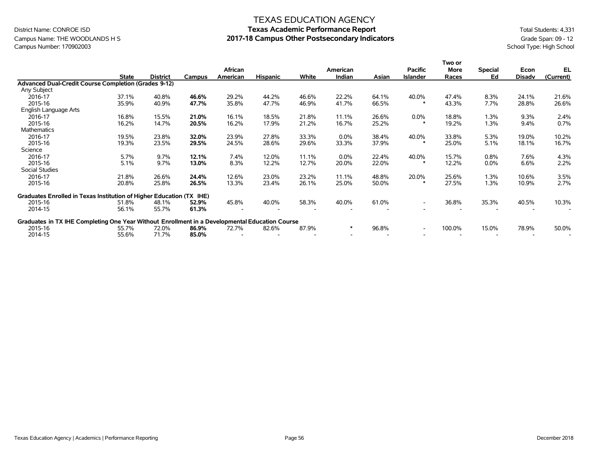### TEXAS EDUCATION AGENCY

|                                                                                                |              |                 |        |                          |                 |       |          |       |                          | Two or |                |               |           |
|------------------------------------------------------------------------------------------------|--------------|-----------------|--------|--------------------------|-----------------|-------|----------|-------|--------------------------|--------|----------------|---------------|-----------|
|                                                                                                |              |                 |        | African                  |                 |       | American |       | <b>Pacific</b>           | More   | <b>Special</b> | Econ          | EL        |
|                                                                                                | <b>State</b> | <b>District</b> | Campus | American                 | <b>Hispanic</b> | White | Indian   | Asian | <b>Islander</b>          | Races  | Ed             | <b>Disadv</b> | (Current) |
| <b>Advanced Dual-Credit Course Completion (Grades 9-12)</b>                                    |              |                 |        |                          |                 |       |          |       |                          |        |                |               |           |
| Any Subject                                                                                    |              |                 |        |                          |                 |       |          |       |                          |        |                |               |           |
| 2016-17                                                                                        | 37.1%        | 40.8%           | 46.6%  | 29.2%                    | 44.2%           | 46.6% | 22.2%    | 64.1% | 40.0%                    | 47.4%  | 8.3%           | 24.1%         | 21.6%     |
| 2015-16                                                                                        | 35.9%        | 40.9%           | 47.7%  | 35.8%                    | 47.7%           | 46.9% | 41.7%    | 66.5% |                          | 43.3%  | 7.7%           | 28.8%         | 26.6%     |
| English Language Arts                                                                          |              |                 |        |                          |                 |       |          |       |                          |        |                |               |           |
| 2016-17                                                                                        | 16.8%        | 15.5%           | 21.0%  | 16.1%                    | 18.5%           | 21.8% | 11.1%    | 26.6% | $0.0\%$                  | 18.8%  | 1.3%           | 9.3%          | 2.4%      |
| 2015-16                                                                                        | 16.2%        | 14.7%           | 20.5%  | 16.2%                    | 17.9%           | 21.2% | 16.7%    | 25.2% |                          | 19.2%  | 1.3%           | 9.4%          | 0.7%      |
| Mathematics                                                                                    |              |                 |        |                          |                 |       |          |       |                          |        |                |               |           |
| 2016-17                                                                                        | 19.5%        | 23.8%           | 32.0%  | 23.9%                    | 27.8%           | 33.3% | $0.0\%$  | 38.4% | 40.0%                    | 33.8%  | 5.3%           | 19.0%         | 10.2%     |
| 2015-16                                                                                        | 19.3%        | 23.5%           | 29.5%  | 24.5%                    | 28.6%           | 29.6% | 33.3%    | 37.9% |                          | 25.0%  | 5.1%           | 18.1%         | 16.7%     |
| Science                                                                                        |              |                 |        |                          |                 |       |          |       |                          |        |                |               |           |
| 2016-17                                                                                        | 5.7%         | 9.7%            | 12.1%  | 7.4%                     | 12.0%           | 11.1% | $0.0\%$  | 22.4% | 40.0%                    | 15.7%  | 0.8%           | 7.6%          | 4.3%      |
| 2015-16                                                                                        | 5.1%         | 9.7%            | 13.0%  | 8.3%                     | 12.2%           | 12.7% | 20.0%    | 22.0% |                          | 12.2%  | $0.0\%$        | 6.6%          | 2.2%      |
| Social Studies                                                                                 |              |                 |        |                          |                 |       |          |       |                          |        |                |               |           |
| 2016-17                                                                                        | 21.8%        | 26.6%           | 24.4%  | 12.6%                    | 23.0%           | 23.2% | 11.1%    | 48.8% | 20.0%                    | 25.6%  | 1.3%           | 10.6%         | 3.5%      |
| 2015-16                                                                                        | 20.8%        | 25.8%           | 26.5%  | 13.3%                    | 23.4%           | 26.1% | 25.0%    | 50.0% |                          | 27.5%  | 1.3%           | 10.9%         | 2.7%      |
| Graduates Enrolled in Texas Institution of Higher Education (TX IHE)                           |              |                 |        |                          |                 |       |          |       |                          |        |                |               |           |
| 2015-16                                                                                        | 51.8%        | 48.1%           | 52.9%  | 45.8%                    | 40.0%           | 58.3% | 40.0%    | 61.0% |                          | 36.8%  | 35.3%          | 40.5%         | 10.3%     |
| 2014-15                                                                                        | 56.1%        | 55.7%           | 61.3%  | $\overline{\phantom{a}}$ |                 |       |          |       |                          |        |                |               |           |
| Graduates in TX IHE Completing One Year Without Enrollment in a Developmental Education Course |              |                 |        |                          |                 |       |          |       |                          |        |                |               |           |
| 2015-16                                                                                        | 55.7%        | 72.0%           | 86.9%  | 72.7%                    | 82.6%           | 87.9% | $\ast$   | 96.8% | $\overline{\phantom{a}}$ | 100.0% | 15.0%          | 78.9%         | 50.0%     |
| 2014-15                                                                                        | 55.6%        | 71.7%           | 85.0%  |                          |                 |       |          |       |                          |        |                |               |           |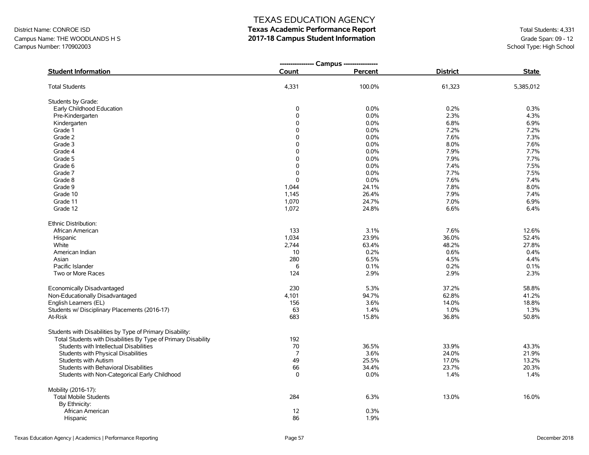#### TEXAS EDUCATION AGENCY

|                                                                |                | ---------------- Campus ---------------- |                 |              |  |  |
|----------------------------------------------------------------|----------------|------------------------------------------|-----------------|--------------|--|--|
| <b>Student Information</b>                                     | Count          | Percent                                  | <b>District</b> | <b>State</b> |  |  |
| <b>Total Students</b>                                          | 4,331          | 100.0%                                   | 61,323          | 5,385,012    |  |  |
| Students by Grade:                                             |                |                                          |                 |              |  |  |
| Early Childhood Education                                      | 0              | 0.0%                                     | 0.2%            | 0.3%         |  |  |
| Pre-Kindergarten                                               | 0              | 0.0%                                     | 2.3%            | 4.3%         |  |  |
| Kindergarten                                                   | 0              | 0.0%                                     | 6.8%            | 6.9%         |  |  |
| Grade 1                                                        | $\mathbf 0$    | 0.0%                                     | 7.2%            | 7.2%         |  |  |
| Grade 2                                                        | 0              | 0.0%                                     | 7.6%            | 7.3%         |  |  |
| Grade 3                                                        | 0              | 0.0%                                     | 8.0%            | 7.6%         |  |  |
| Grade 4                                                        | 0              | 0.0%                                     | 7.9%            | 7.7%         |  |  |
| Grade 5                                                        | 0              | 0.0%                                     | 7.9%            | 7.7%         |  |  |
| Grade 6                                                        | 0              | 0.0%                                     | 7.4%            | 7.5%         |  |  |
| Grade 7                                                        | 0              | 0.0%                                     | 7.7%            | 7.5%         |  |  |
| Grade 8                                                        | 0              | 0.0%                                     | 7.6%            | 7.4%         |  |  |
| Grade 9                                                        | 1,044          | 24.1%                                    | 7.8%            | 8.0%         |  |  |
| Grade 10                                                       | 1,145          | 26.4%                                    | 7.9%            | 7.4%         |  |  |
| Grade 11                                                       | 1,070          | 24.7%                                    | 7.0%            | 6.9%         |  |  |
| Grade 12                                                       | 1,072          | 24.8%                                    | 6.6%            | 6.4%         |  |  |
| Ethnic Distribution:                                           |                |                                          |                 |              |  |  |
| African American                                               | 133            | 3.1%                                     | 7.6%            | 12.6%        |  |  |
| Hispanic                                                       | 1,034          | 23.9%                                    | 36.0%           | 52.4%        |  |  |
| White                                                          | 2,744          | 63.4%                                    | 48.2%           | 27.8%        |  |  |
| American Indian                                                | 10             | 0.2%                                     | 0.6%            | 0.4%         |  |  |
| Asian                                                          | 280            | 6.5%                                     | 4.5%            | 4.4%         |  |  |
| Pacific Islander                                               | 6              | 0.1%                                     | 0.2%            | 0.1%         |  |  |
| Two or More Races                                              | 124            | 2.9%                                     | 2.9%            | 2.3%         |  |  |
| Economically Disadvantaged                                     | 230            | 5.3%                                     | 37.2%           | 58.8%        |  |  |
| Non-Educationally Disadvantaged                                | 4,101          | 94.7%                                    | 62.8%           | 41.2%        |  |  |
| English Learners (EL)                                          | 156            | 3.6%                                     | 14.0%           | 18.8%        |  |  |
| Students w/ Disciplinary Placements (2016-17)                  | 63             | 1.4%                                     | 1.0%            | 1.3%         |  |  |
| At-Risk                                                        | 683            | 15.8%                                    | 36.8%           | 50.8%        |  |  |
| Students with Disabilities by Type of Primary Disability:      |                |                                          |                 |              |  |  |
| Total Students with Disabilities By Type of Primary Disability | 192            |                                          |                 |              |  |  |
| Students with Intellectual Disabilities                        | 70             | 36.5%                                    | 33.9%           | 43.3%        |  |  |
| Students with Physical Disabilities                            | $\overline{7}$ | 3.6%                                     | 24.0%           | 21.9%        |  |  |
| Students with Autism                                           | 49             | 25.5%                                    | 17.0%           | 13.2%        |  |  |
| Students with Behavioral Disabilities                          | 66             | 34.4%                                    | 23.7%           | 20.3%        |  |  |
| Students with Non-Categorical Early Childhood                  | $\Omega$       | 0.0%                                     | 1.4%            | 1.4%         |  |  |
| Mobility (2016-17):                                            |                |                                          |                 |              |  |  |
| <b>Total Mobile Students</b>                                   | 284            | 6.3%                                     | 13.0%           | 16.0%        |  |  |
| By Ethnicity:                                                  |                |                                          |                 |              |  |  |
| African American                                               | 12             | 0.3%                                     |                 |              |  |  |
| Hispanic                                                       | 86             | 1.9%                                     |                 |              |  |  |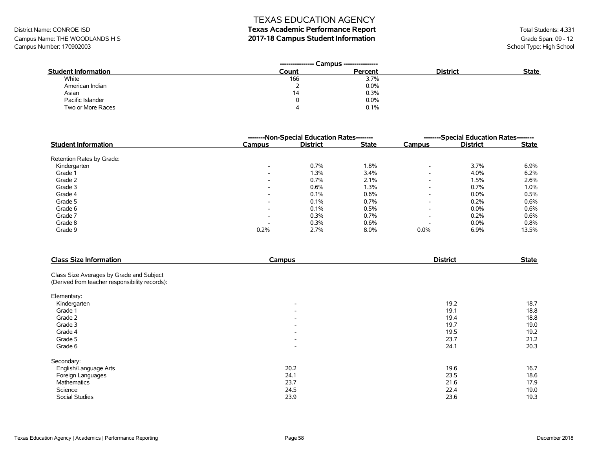# District Name: CONROE ISD **Texas Academic Performance Report Texas Academic Performance Report** Total Students: 4,331

|                            | Campus ----------------<br>---------------- |         |                 |              |
|----------------------------|---------------------------------------------|---------|-----------------|--------------|
| <b>Student Information</b> | Count                                       | Percent | <b>District</b> | <b>State</b> |
| White                      | 166                                         | 3.7%    |                 |              |
| American Indian            |                                             | 0.0%    |                 |              |
| Asian                      | 14                                          | 0.3%    |                 |              |
| Pacific Islander           |                                             | 0.0%    |                 |              |
| Two or More Races          |                                             | 0.1%    |                 |              |

|                            | --------Non-Special Education Rates-------- | --------Special Education Rates-------- |              |                          |                 |              |
|----------------------------|---------------------------------------------|-----------------------------------------|--------------|--------------------------|-----------------|--------------|
| <b>Student Information</b> | <b>Campus</b>                               | <b>District</b>                         | <b>State</b> | Campus                   | <b>District</b> | <b>State</b> |
| Retention Rates by Grade:  |                                             |                                         |              |                          |                 |              |
| Kindergarten               | $\overline{\phantom{0}}$                    | 0.7%                                    | 1.8%         | $\overline{\phantom{a}}$ | 3.7%            | 6.9%         |
| Grade 1                    | $\overline{\phantom{a}}$                    | 1.3%                                    | 3.4%         | $\overline{\phantom{0}}$ | 4.0%            | 6.2%         |
| Grade 2                    | $\overline{\phantom{0}}$                    | 0.7%                                    | 2.1%         | $\overline{\phantom{0}}$ | 1.5%            | 2.6%         |
| Grade 3                    | $\overline{\phantom{a}}$                    | 0.6%                                    | 1.3%         | $\overline{\phantom{0}}$ | 0.7%            | 1.0%         |
| Grade 4                    | $\overline{\phantom{a}}$                    | 0.1%                                    | 0.6%         | $\overline{\phantom{0}}$ | 0.0%            | 0.5%         |
| Grade 5                    | $\overline{\phantom{a}}$                    | 0.1%                                    | 0.7%         | $\overline{\phantom{a}}$ | 0.2%            | 0.6%         |
| Grade 6                    | $\overline{\phantom{a}}$                    | 0.1%                                    | 0.5%         | $\overline{\phantom{a}}$ | 0.0%            | 0.6%         |
| Grade 7                    | $\overline{\phantom{a}}$                    | 0.3%                                    | 0.7%         | $\overline{\phantom{0}}$ | 0.2%            | 0.6%         |
| Grade 8                    | $\overline{\phantom{a}}$                    | 0.3%                                    | 0.6%         |                          | 0.0%            | 0.8%         |
| Grade 9                    | 0.2%                                        | 2.7%                                    | 8.0%         | $0.0\%$                  | 6.9%            | 13.5%        |

| <b>Class Size Information</b>                  | Campus                   | <b>District</b> | <b>State</b> |
|------------------------------------------------|--------------------------|-----------------|--------------|
| Class Size Averages by Grade and Subject       |                          |                 |              |
| (Derived from teacher responsibility records): |                          |                 |              |
| Elementary:                                    |                          |                 |              |
| Kindergarten                                   | $\overline{\phantom{0}}$ | 19.2            | 18.7         |
| Grade 1                                        | $\overline{\phantom{a}}$ | 19.1            | 18.8         |
| Grade 2                                        | $\overline{\phantom{a}}$ | 19.4            | 18.8         |
| Grade 3                                        | $\overline{\phantom{a}}$ | 19.7            | 19.0         |
| Grade 4                                        | $\overline{\phantom{a}}$ | 19.5            | 19.2         |
| Grade 5                                        | $\overline{\phantom{a}}$ | 23.7            | 21.2         |
| Grade 6                                        | $\overline{\phantom{a}}$ | 24.1            | 20.3         |
| Secondary:                                     |                          |                 |              |
| English/Language Arts                          | 20.2                     | 19.6            | 16.7         |
| Foreign Languages                              | 24.1                     | 23.5            | 18.6         |
| Mathematics                                    | 23.7                     | 21.6            | 17.9         |
| Science                                        | 24.5                     | 22.4            | 19.0         |
| <b>Social Studies</b>                          | 23.9                     | 23.6            | 19.3         |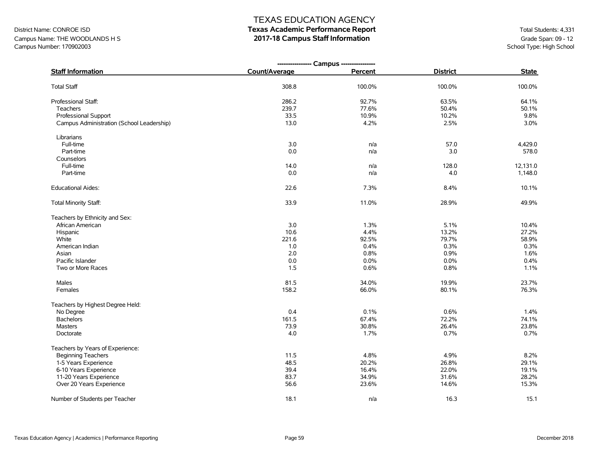# District Name: CONROE ISD **Texas Academic Performance Report Texas Academic Performance Report** Total Students: 4,331

|                                           | --------------- Campus ---------------- |         |                 |              |
|-------------------------------------------|-----------------------------------------|---------|-----------------|--------------|
| <b>Staff Information</b>                  | Count/Average                           | Percent | <b>District</b> | <b>State</b> |
| <b>Total Staff</b>                        | 308.8                                   | 100.0%  | 100.0%          | 100.0%       |
| Professional Staff:                       | 286.2                                   | 92.7%   | 63.5%           | 64.1%        |
| Teachers                                  | 239.7                                   | 77.6%   | 50.4%           | 50.1%        |
| Professional Support                      | 33.5                                    | 10.9%   | 10.2%           | 9.8%         |
| Campus Administration (School Leadership) | 13.0                                    | 4.2%    | 2.5%            | 3.0%         |
| Librarians                                |                                         |         |                 |              |
| Full-time                                 | 3.0                                     | n/a     | 57.0            | 4,429.0      |
| Part-time                                 | 0.0                                     | n/a     | 3.0             | 578.0        |
| Counselors                                |                                         |         |                 |              |
| Full-time                                 | 14.0                                    | n/a     | 128.0           | 12,131.0     |
| Part-time                                 | 0.0                                     | n/a     | 4.0             | 1,148.0      |
| <b>Educational Aides:</b>                 | 22.6                                    | 7.3%    | 8.4%            | 10.1%        |
| <b>Total Minority Staff:</b>              | 33.9                                    | 11.0%   | 28.9%           | 49.9%        |
| Teachers by Ethnicity and Sex:            |                                         |         |                 |              |
| African American                          | 3.0                                     | 1.3%    | 5.1%            | 10.4%        |
| Hispanic                                  | 10.6                                    | 4.4%    | 13.2%           | 27.2%        |
| White                                     | 221.6                                   | 92.5%   | 79.7%           | 58.9%        |
| American Indian                           | 1.0                                     | 0.4%    | 0.3%            | 0.3%         |
| Asian                                     | 2.0                                     | 0.8%    | 0.9%            | 1.6%         |
| Pacific Islander                          | 0.0                                     | $0.0\%$ | 0.0%            | 0.4%         |
| Two or More Races                         | 1.5                                     | 0.6%    | 0.8%            | 1.1%         |
| Males                                     | 81.5                                    | 34.0%   | 19.9%           | 23.7%        |
| <b>Females</b>                            | 158.2                                   | 66.0%   | 80.1%           | 76.3%        |
| Teachers by Highest Degree Held:          |                                         |         |                 |              |
| No Degree                                 | 0.4                                     | 0.1%    | 0.6%            | 1.4%         |
| <b>Bachelors</b>                          | 161.5                                   | 67.4%   | 72.2%           | 74.1%        |
| <b>Masters</b>                            | 73.9                                    | 30.8%   | 26.4%           | 23.8%        |
| Doctorate                                 | 4.0                                     | 1.7%    | 0.7%            | 0.7%         |
| Teachers by Years of Experience:          |                                         |         |                 |              |
| <b>Beginning Teachers</b>                 | 11.5                                    | 4.8%    | 4.9%            | 8.2%         |
| 1-5 Years Experience                      | 48.5                                    | 20.2%   | 26.8%           | 29.1%        |
| 6-10 Years Experience                     | 39.4                                    | 16.4%   | 22.0%           | 19.1%        |
| 11-20 Years Experience                    | 83.7                                    | 34.9%   | 31.6%           | 28.2%        |
| Over 20 Years Experience                  | 56.6                                    | 23.6%   | 14.6%           | 15.3%        |
| Number of Students per Teacher            | 18.1                                    | n/a     | 16.3            | 15.1         |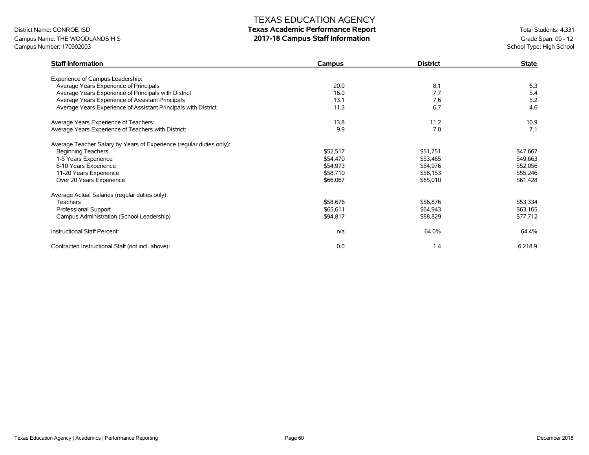## District Name: CONROE ISD **Texas Academic Performance Report Texas Academic Performance Report** Total Students: 4,331

| <b>Staff Information</b>                                             | Campus   | <b>District</b> | <b>State</b> |
|----------------------------------------------------------------------|----------|-----------------|--------------|
| Experience of Campus Leadership:                                     |          |                 |              |
| Average Years Experience of Principals                               | 20.0     | 8.1             | 6.3          |
| Average Years Experience of Principals with District                 | 16.0     | 7.7             | 5.4          |
| Average Years Experience of Assistant Principals                     | 13.1     | 7.6             | 5.2          |
| Average Years Experience of Assistant Principals with District       | 11.3     | 6.7             | 4.6          |
| Average Years Experience of Teachers:                                | 13.8     | 11.2            | 10.9         |
| Average Years Experience of Teachers with District:                  | 9.9      | 7.0             | 7.1          |
| Average Teacher Salary by Years of Experience (regular duties only): |          |                 |              |
| <b>Beginning Teachers</b>                                            | \$52,517 | \$51,751        | \$47,667     |
| 1-5 Years Experience                                                 | \$54,470 | \$53,465        | \$49,663     |
| 6-10 Years Experience                                                | \$54,973 | \$54,976        | \$52,056     |
| 11-20 Years Experience                                               | \$58,710 | \$58,153        | \$55,246     |
| Over 20 Years Experience                                             | \$66,067 | \$65,010        | \$61,428     |
| Average Actual Salaries (regular duties only):                       |          |                 |              |
| <b>Teachers</b>                                                      | \$58,676 | \$56,876        | \$53,334     |
| Professional Support                                                 | \$65,611 | \$64,943        | \$63,165     |
| Campus Administration (School Leadership)                            | \$94,817 | \$88,829        | \$77,712     |
| Instructional Staff Percent:                                         | n/a      | 64.0%           | 64.4%        |
| Contracted Instructional Staff (not incl. above):                    | 0.0      | 1.4             | 6,218.9      |